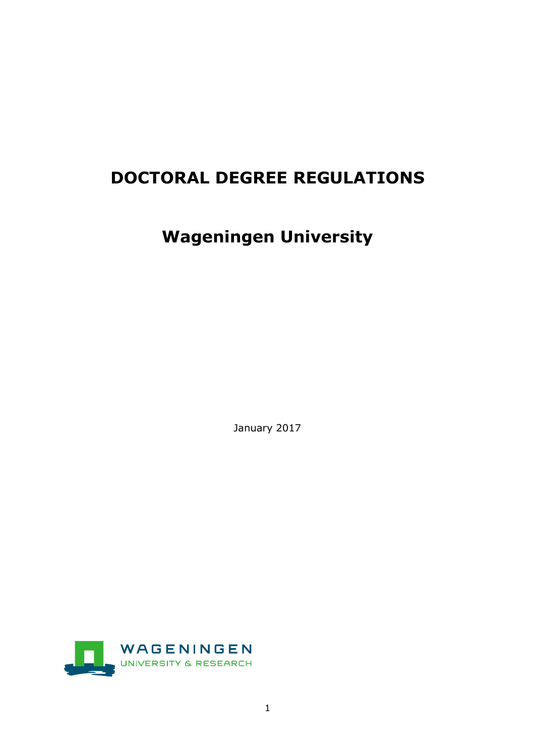# **DOCTORAL DEGREE REGULATIONS**

# **Wageningen University**

January 2017

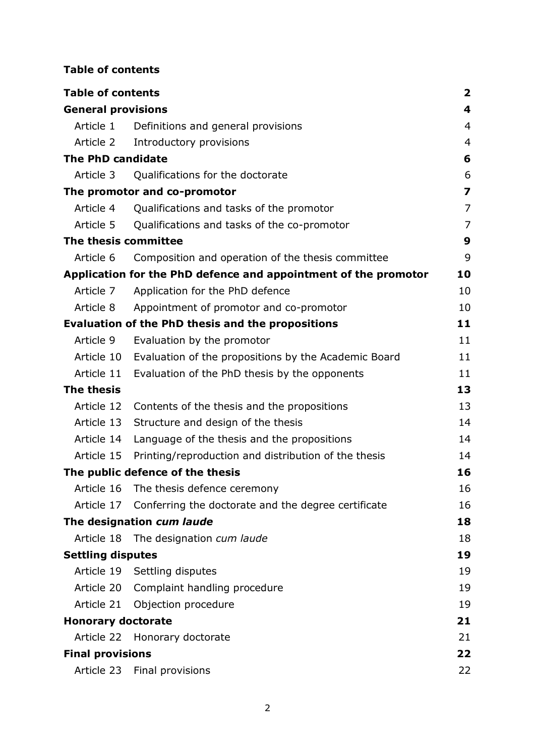# **Table of contents**

| <b>Table of contents</b>  |                                                                 | 2                       |
|---------------------------|-----------------------------------------------------------------|-------------------------|
| <b>General provisions</b> |                                                                 | 4                       |
| Article 1                 | Definitions and general provisions                              | 4                       |
| Article 2                 | Introductory provisions                                         | 4                       |
| <b>The PhD candidate</b>  |                                                                 | 6                       |
| Article 3                 | Qualifications for the doctorate                                | 6                       |
|                           | The promotor and co-promotor                                    | $\overline{\mathbf{z}}$ |
| Article 4                 | Qualifications and tasks of the promotor                        | 7                       |
| Article 5                 | Qualifications and tasks of the co-promotor                     | 7                       |
| The thesis committee      |                                                                 | 9                       |
| Article 6                 | Composition and operation of the thesis committee               | 9                       |
|                           | Application for the PhD defence and appointment of the promotor | 10                      |
| Article 7                 | Application for the PhD defence                                 | 10                      |
| Article 8                 | Appointment of promotor and co-promotor                         | 10                      |
|                           | <b>Evaluation of the PhD thesis and the propositions</b>        | 11                      |
| Article 9                 | Evaluation by the promotor                                      | 11                      |
|                           | Article 10 Evaluation of the propositions by the Academic Board | 11                      |
| Article 11                | Evaluation of the PhD thesis by the opponents                   | 11                      |
| <b>The thesis</b>         |                                                                 | 13                      |
| Article 12                | Contents of the thesis and the propositions                     | 13                      |
| Article 13                | Structure and design of the thesis                              | 14                      |
| Article 14                | Language of the thesis and the propositions                     | 14                      |
| Article 15                | Printing/reproduction and distribution of the thesis            | 14                      |
|                           | The public defence of the thesis                                | 16                      |
|                           | Article 16 The thesis defence ceremony                          | 16                      |
|                           | Article 17 Conferring the doctorate and the degree certificate  | 16                      |
|                           | The designation cum laude                                       | 18                      |
|                           | Article 18 The designation cum laude                            | 18                      |
| <b>Settling disputes</b>  |                                                                 | 19                      |
|                           | Article 19 Settling disputes                                    | 19                      |
|                           | Article 20 Complaint handling procedure                         | 19                      |
|                           | Article 21 Objection procedure                                  | 19                      |
| <b>Honorary doctorate</b> |                                                                 | 21                      |
|                           | Article 22 Honorary doctorate                                   | 21                      |
| <b>Final provisions</b>   |                                                                 | 22                      |
|                           | Article 23 Final provisions                                     | 22                      |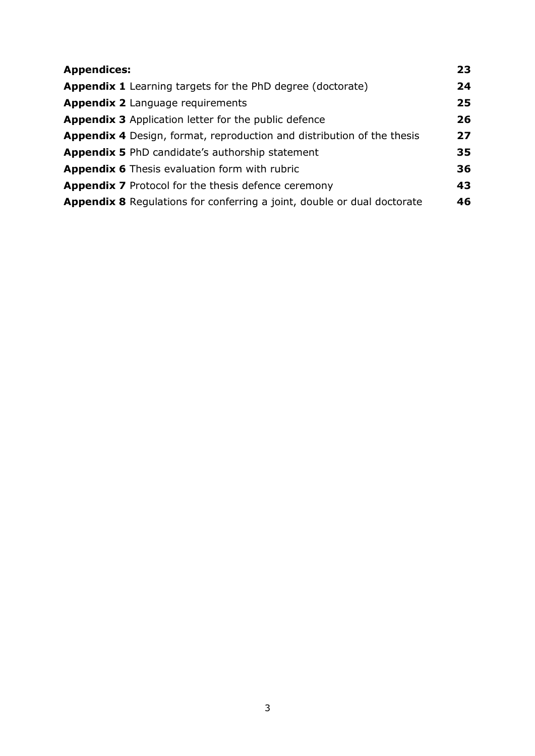| <b>Appendices:</b>                                                             | 23 |
|--------------------------------------------------------------------------------|----|
| <b>Appendix 1</b> Learning targets for the PhD degree (doctorate)              | 24 |
| <b>Appendix 2</b> Language requirements                                        | 25 |
| <b>Appendix 3</b> Application letter for the public defence                    | 26 |
| <b>Appendix 4</b> Design, format, reproduction and distribution of the thesis  | 27 |
| <b>Appendix 5 PhD candidate's authorship statement</b>                         | 35 |
| <b>Appendix 6</b> Thesis evaluation form with rubric                           | 36 |
| <b>Appendix 7</b> Protocol for the thesis defence ceremony                     | 43 |
| <b>Appendix 8</b> Regulations for conferring a joint, double or dual doctorate | 46 |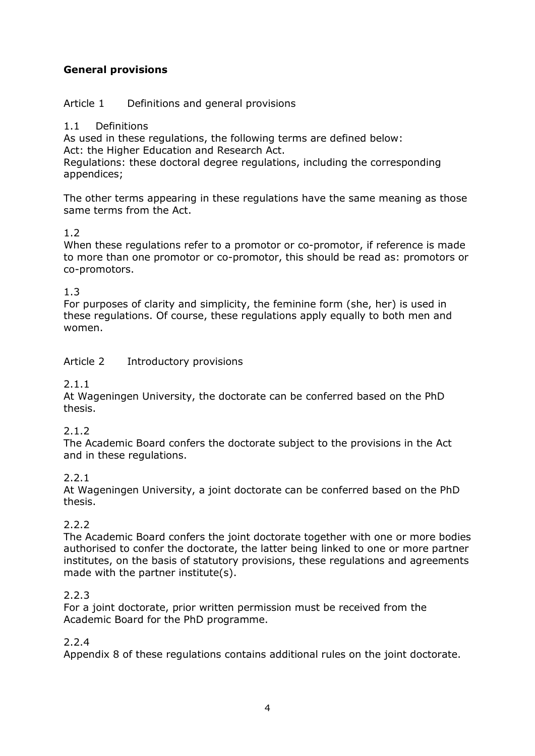# **General provisions**

# Article 1 Definitions and general provisions

#### 1.1 Definitions

As used in these regulations, the following terms are defined below: Act: the Higher Education and Research Act.

Regulations: these doctoral degree regulations, including the corresponding appendices;

The other terms appearing in these regulations have the same meaning as those same terms from the Act.

# 1.2

When these regulations refer to a promotor or co-promotor, if reference is made to more than one promotor or co-promotor, this should be read as: promotors or co-promotors.

### 1.3

For purposes of clarity and simplicity, the feminine form (she, her) is used in these regulations. Of course, these regulations apply equally to both men and women.

### Article 2 Introductory provisions

#### 2.1.1

At Wageningen University, the doctorate can be conferred based on the PhD thesis.

#### 2.1.2

The Academic Board confers the doctorate subject to the provisions in the Act and in these regulations.

# 2.2.1

At Wageningen University, a joint doctorate can be conferred based on the PhD thesis.

# 2.2.2

The Academic Board confers the joint doctorate together with one or more bodies authorised to confer the doctorate, the latter being linked to one or more partner institutes, on the basis of statutory provisions, these regulations and agreements made with the partner institute(s).

#### 2.2.3

For a joint doctorate, prior written permission must be received from the Academic Board for the PhD programme.

#### 2.2.4

Appendix 8 of these regulations contains additional rules on the joint doctorate.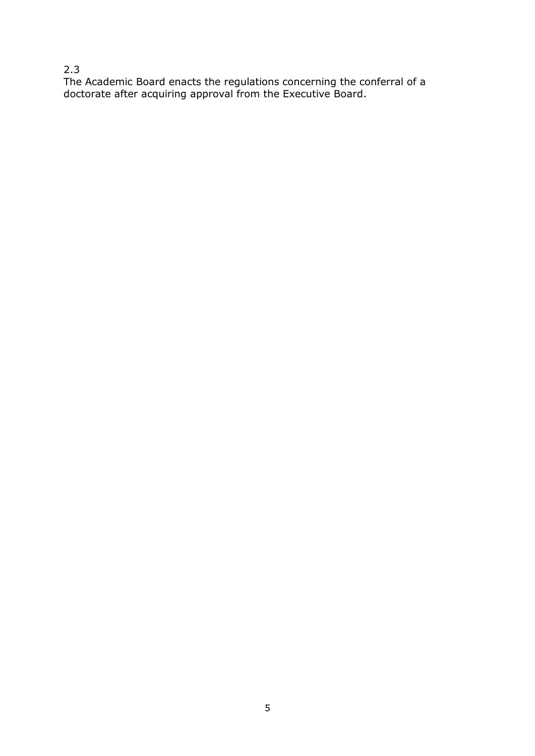# 2.3

The Academic Board enacts the regulations concerning the conferral of a doctorate after acquiring approval from the Executive Board.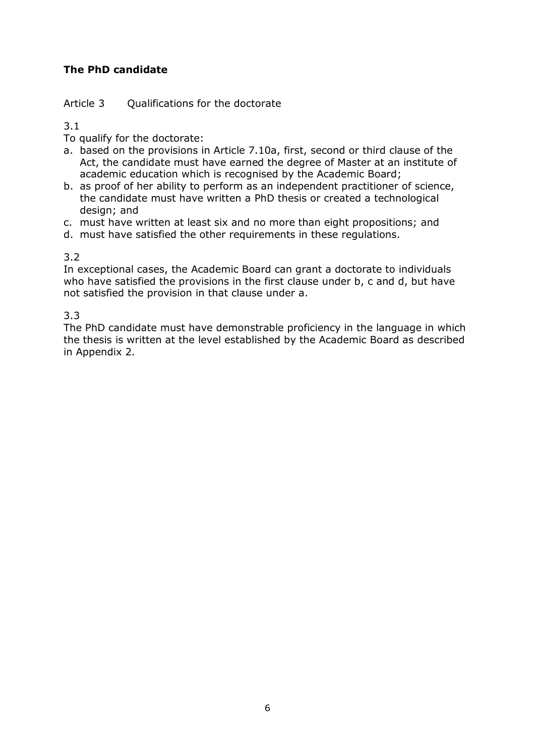# **The PhD candidate**

### Article 3 Qualifications for the doctorate

3.1

- To qualify for the doctorate:
- a. based on the provisions in Article 7.10a, first, second or third clause of the Act, the candidate must have earned the degree of Master at an institute of academic education which is recognised by the Academic Board;
- b. as proof of her ability to perform as an independent practitioner of science, the candidate must have written a PhD thesis or created a technological design; and
- c. must have written at least six and no more than eight propositions; and
- d. must have satisfied the other requirements in these regulations.

# 3.2

In exceptional cases, the Academic Board can grant a doctorate to individuals who have satisfied the provisions in the first clause under b, c and d, but have not satisfied the provision in that clause under a.

3.3

The PhD candidate must have demonstrable proficiency in the language in which the thesis is written at the level established by the Academic Board as described in Appendix 2.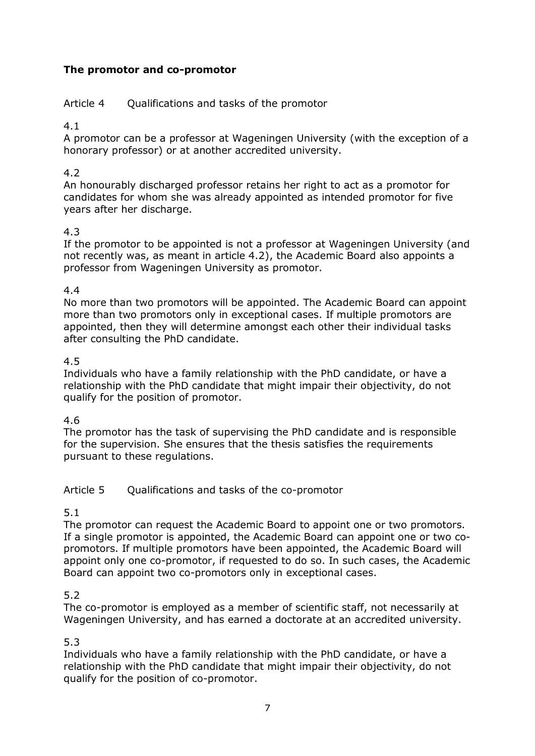# **The promotor and co-promotor**

Article 4 Qualifications and tasks of the promotor

4.1

A promotor can be a professor at Wageningen University (with the exception of a honorary professor) or at another accredited university.

### 4.2

An honourably discharged professor retains her right to act as a promotor for candidates for whom she was already appointed as intended promotor for five years after her discharge.

### 4.3

If the promotor to be appointed is not a professor at Wageningen University (and not recently was, as meant in article 4.2), the Academic Board also appoints a professor from Wageningen University as promotor.

#### 4.4

No more than two promotors will be appointed. The Academic Board can appoint more than two promotors only in exceptional cases. If multiple promotors are appointed, then they will determine amongst each other their individual tasks after consulting the PhD candidate.

### 4.5

Individuals who have a family relationship with the PhD candidate, or have a relationship with the PhD candidate that might impair their objectivity, do not qualify for the position of promotor.

# 4.6

The promotor has the task of supervising the PhD candidate and is responsible for the supervision. She ensures that the thesis satisfies the requirements pursuant to these regulations.

# Article 5 Qualifications and tasks of the co-promotor

#### 5.1

The promotor can request the Academic Board to appoint one or two promotors. If a single promotor is appointed, the Academic Board can appoint one or two copromotors. If multiple promotors have been appointed, the Academic Board will appoint only one co-promotor, if requested to do so. In such cases, the Academic Board can appoint two co-promotors only in exceptional cases.

# 5.2

The co-promotor is employed as a member of scientific staff, not necessarily at Wageningen University, and has earned a doctorate at an accredited university.

# 5.3

Individuals who have a family relationship with the PhD candidate, or have a relationship with the PhD candidate that might impair their objectivity, do not qualify for the position of co-promotor.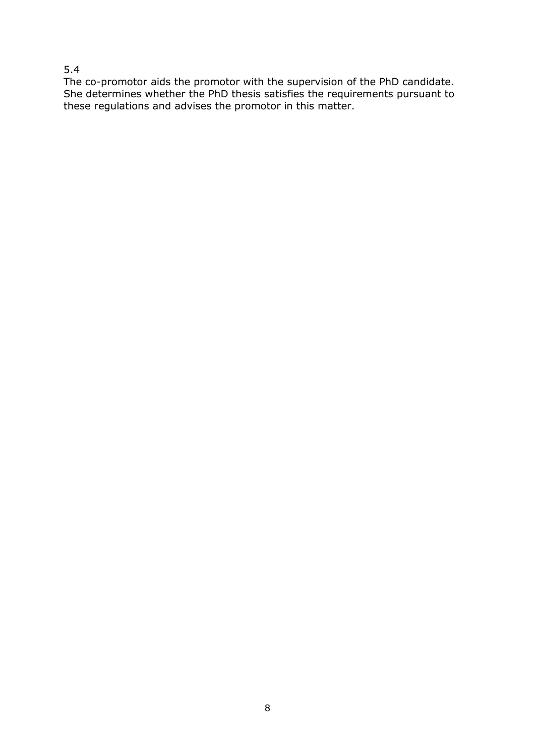# 5.4

The co-promotor aids the promotor with the supervision of the PhD candidate. She determines whether the PhD thesis satisfies the requirements pursuant to these regulations and advises the promotor in this matter.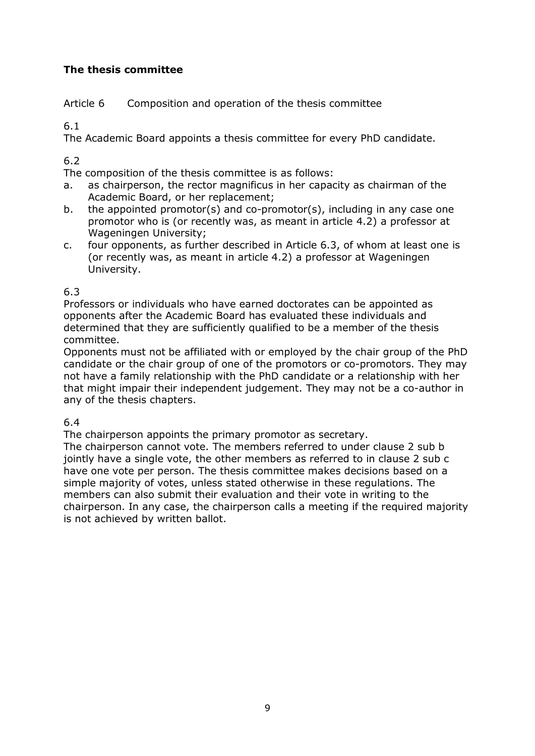# **The thesis committee**

Article 6 Composition and operation of the thesis committee

6.1

The Academic Board appoints a thesis committee for every PhD candidate.

# 6.2

The composition of the thesis committee is as follows:

- a. as chairperson, the rector magnificus in her capacity as chairman of the Academic Board, or her replacement;
- b. the appointed promotor(s) and co-promotor(s), including in any case one promotor who is (or recently was, as meant in article 4.2) a professor at Wageningen University;
- c. four opponents, as further described in Article 6.3, of whom at least one is (or recently was, as meant in article 4.2) a professor at Wageningen University.

# 6.3

Professors or individuals who have earned doctorates can be appointed as opponents after the Academic Board has evaluated these individuals and determined that they are sufficiently qualified to be a member of the thesis committee.

Opponents must not be affiliated with or employed by the chair group of the PhD candidate or the chair group of one of the promotors or co-promotors. They may not have a family relationship with the PhD candidate or a relationship with her that might impair their independent judgement. They may not be a co-author in any of the thesis chapters.

# 6.4

The chairperson appoints the primary promotor as secretary.

The chairperson cannot vote. The members referred to under clause 2 sub b jointly have a single vote, the other members as referred to in clause 2 sub c have one vote per person. The thesis committee makes decisions based on a simple majority of votes, unless stated otherwise in these regulations. The members can also submit their evaluation and their vote in writing to the chairperson. In any case, the chairperson calls a meeting if the required majority is not achieved by written ballot.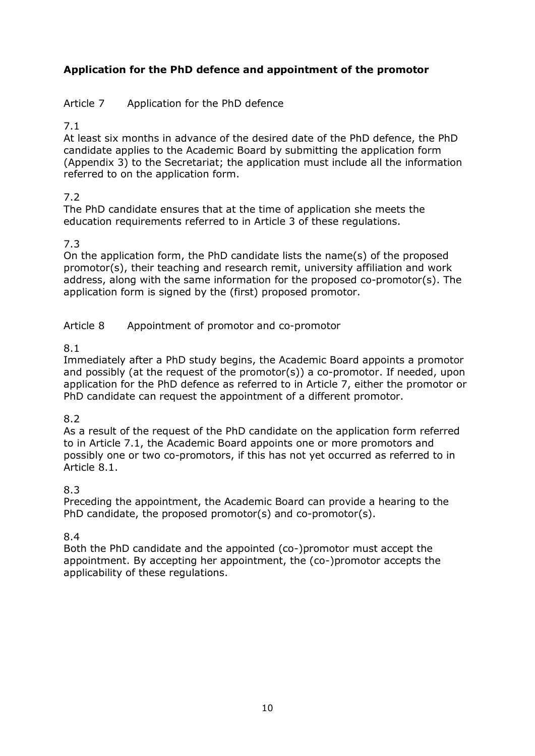# **Application for the PhD defence and appointment of the promotor**

# Article 7 Application for the PhD defence

# 7.1

At least six months in advance of the desired date of the PhD defence, the PhD candidate applies to the Academic Board by submitting the application form (Appendix 3) to the Secretariat; the application must include all the information referred to on the application form.

# 7.2

The PhD candidate ensures that at the time of application she meets the education requirements referred to in Article 3 of these regulations.

# 7.3

On the application form, the PhD candidate lists the name(s) of the proposed promotor(s), their teaching and research remit, university affiliation and work address, along with the same information for the proposed co-promotor(s). The application form is signed by the (first) proposed promotor.

Article 8 Appointment of promotor and co-promotor

# 8.1

Immediately after a PhD study begins, the Academic Board appoints a promotor and possibly (at the request of the promotor(s)) a co-promotor. If needed, upon application for the PhD defence as referred to in Article 7, either the promotor or PhD candidate can request the appointment of a different promotor.

# 8.2

As a result of the request of the PhD candidate on the application form referred to in Article 7.1, the Academic Board appoints one or more promotors and possibly one or two co-promotors, if this has not yet occurred as referred to in Article 8.1.

# 8.3

Preceding the appointment, the Academic Board can provide a hearing to the PhD candidate, the proposed promotor(s) and co-promotor(s).

# 8.4

Both the PhD candidate and the appointed (co-)promotor must accept the appointment. By accepting her appointment, the (co-)promotor accepts the applicability of these regulations.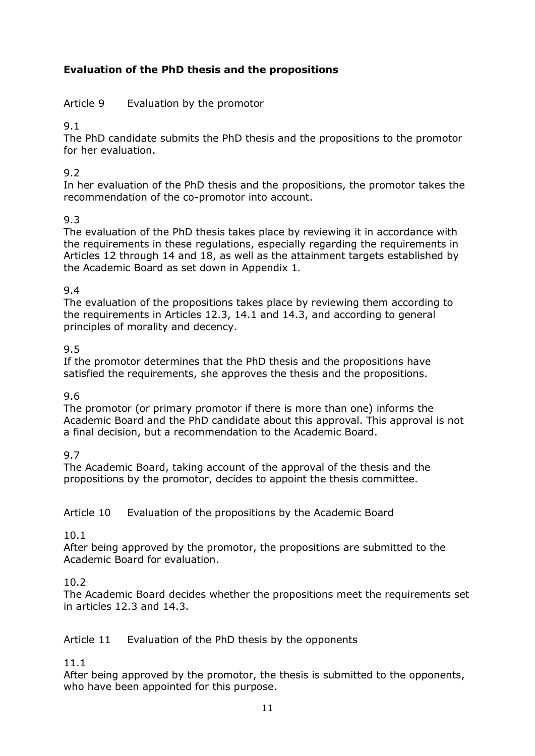# **Evaluation of the PhD thesis and the propositions**

Article 9 Evaluation by the promotor

9.1

The PhD candidate submits the PhD thesis and the propositions to the promotor for her evaluation.

# 9.2

In her evaluation of the PhD thesis and the propositions, the promotor takes the recommendation of the co-promotor into account.

# 9.3

The evaluation of the PhD thesis takes place by reviewing it in accordance with the requirements in these regulations, especially regarding the requirements in Articles 12 through 14 and 18, as well as the attainment targets established by the Academic Board as set down in Appendix 1*.*

# 9.4

The evaluation of the propositions takes place by reviewing them according to the requirements in Articles 12.3, 14.1 and 14.3, and according to general principles of morality and decency.

# 9.5

If the promotor determines that the PhD thesis and the propositions have satisfied the requirements, she approves the thesis and the propositions.

# 9.6

The promotor (or primary promotor if there is more than one) informs the Academic Board and the PhD candidate about this approval. This approval is not a final decision, but a recommendation to the Academic Board.

# 9.7

The Academic Board, taking account of the approval of the thesis and the propositions by the promotor, decides to appoint the thesis committee.

Article 10 Evaluation of the propositions by the Academic Board

# 10.1

After being approved by the promotor, the propositions are submitted to the Academic Board for evaluation.

# 10.2

The Academic Board decides whether the propositions meet the requirements set in articles 12.3 and 14.3.

# Article 11 Evaluation of the PhD thesis by the opponents

11.1

After being approved by the promotor, the thesis is submitted to the opponents, who have been appointed for this purpose.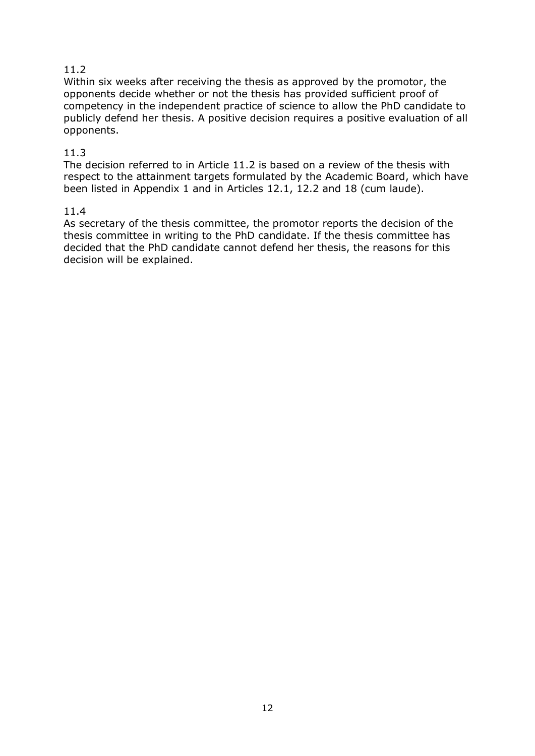# 11.2

Within six weeks after receiving the thesis as approved by the promotor, the opponents decide whether or not the thesis has provided sufficient proof of competency in the independent practice of science to allow the PhD candidate to publicly defend her thesis. A positive decision requires a positive evaluation of all opponents.

### 11.3

The decision referred to in Article 11.2 is based on a review of the thesis with respect to the attainment targets formulated by the Academic Board, which have been listed in Appendix 1 and in Articles 12.1, 12.2 and 18 (cum laude).

#### 11.4

As secretary of the thesis committee, the promotor reports the decision of the thesis committee in writing to the PhD candidate. If the thesis committee has decided that the PhD candidate cannot defend her thesis, the reasons for this decision will be explained.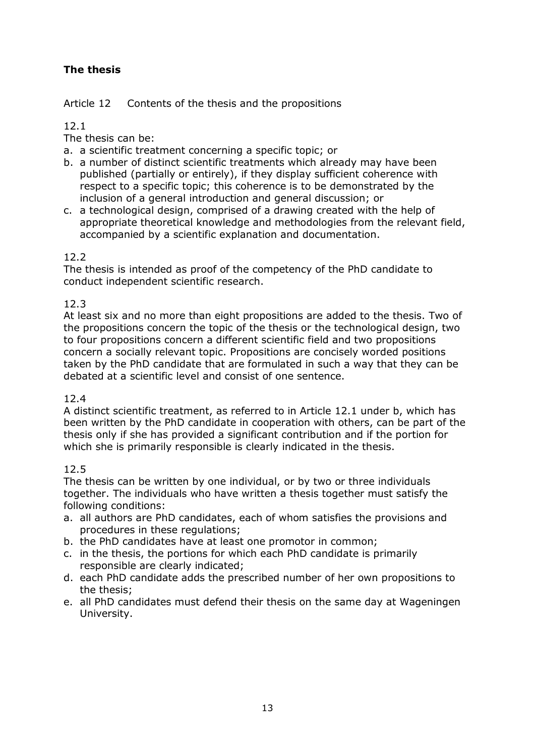# **The thesis**

Article 12 Contents of the thesis and the propositions

# 12.1

The thesis can be:

- a. a scientific treatment concerning a specific topic; or
- b. a number of distinct scientific treatments which already may have been published (partially or entirely), if they display sufficient coherence with respect to a specific topic; this coherence is to be demonstrated by the inclusion of a general introduction and general discussion; or
- c. a technological design, comprised of a drawing created with the help of appropriate theoretical knowledge and methodologies from the relevant field, accompanied by a scientific explanation and documentation.

# 12.2

The thesis is intended as proof of the competency of the PhD candidate to conduct independent scientific research.

# 12.3

At least six and no more than eight propositions are added to the thesis. Two of the propositions concern the topic of the thesis or the technological design, two to four propositions concern a different scientific field and two propositions concern a socially relevant topic. Propositions are concisely worded positions taken by the PhD candidate that are formulated in such a way that they can be debated at a scientific level and consist of one sentence.

# 12.4

A distinct scientific treatment, as referred to in Article 12.1 under b, which has been written by the PhD candidate in cooperation with others, can be part of the thesis only if she has provided a significant contribution and if the portion for which she is primarily responsible is clearly indicated in the thesis.

# 12.5

The thesis can be written by one individual, or by two or three individuals together. The individuals who have written a thesis together must satisfy the following conditions:

- a. all authors are PhD candidates, each of whom satisfies the provisions and procedures in these regulations;
- b. the PhD candidates have at least one promotor in common;
- c. in the thesis, the portions for which each PhD candidate is primarily responsible are clearly indicated;
- d. each PhD candidate adds the prescribed number of her own propositions to the thesis;
- e. all PhD candidates must defend their thesis on the same day at Wageningen University.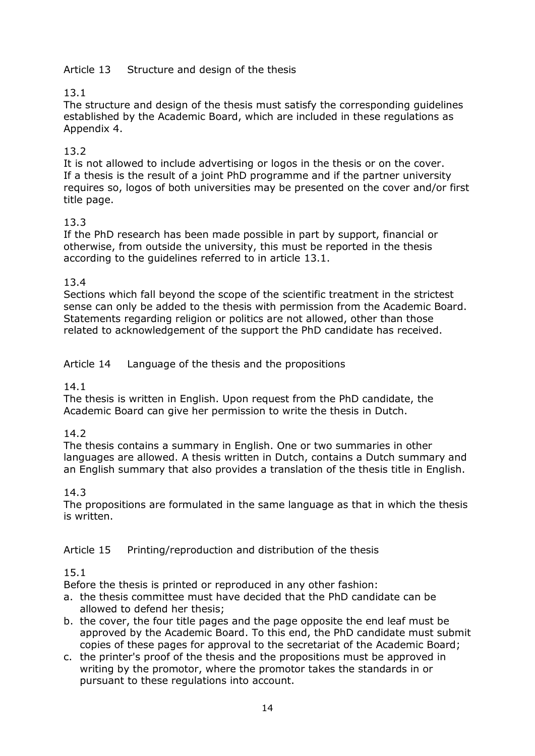# Article 13 Structure and design of the thesis

# 13.1

The structure and design of the thesis must satisfy the corresponding guidelines established by the Academic Board, which are included in these regulations as Appendix 4.

# 13.2

It is not allowed to include advertising or logos in the thesis or on the cover. If a thesis is the result of a joint PhD programme and if the partner university requires so, logos of both universities may be presented on the cover and/or first title page.

# 13.3

If the PhD research has been made possible in part by support, financial or otherwise, from outside the university, this must be reported in the thesis according to the guidelines referred to in article 13.1.

### 13.4

Sections which fall beyond the scope of the scientific treatment in the strictest sense can only be added to the thesis with permission from the Academic Board. Statements regarding religion or politics are not allowed, other than those related to acknowledgement of the support the PhD candidate has received.

### Article 14 Language of the thesis and the propositions

#### 14.1

The thesis is written in English. Upon request from the PhD candidate, the Academic Board can give her permission to write the thesis in Dutch.

# 14.2

The thesis contains a summary in English. One or two summaries in other languages are allowed. A thesis written in Dutch, contains a Dutch summary and an English summary that also provides a translation of the thesis title in English.

#### 14.3

The propositions are formulated in the same language as that in which the thesis is written.

#### Article 15 Printing/reproduction and distribution of the thesis

#### 15.1

Before the thesis is printed or reproduced in any other fashion:

- a. the thesis committee must have decided that the PhD candidate can be allowed to defend her thesis;
- b. the cover, the four title pages and the page opposite the end leaf must be approved by the Academic Board. To this end, the PhD candidate must submit copies of these pages for approval to the secretariat of the Academic Board;
- c. the printer's proof of the thesis and the propositions must be approved in writing by the promotor, where the promotor takes the standards in or pursuant to these regulations into account.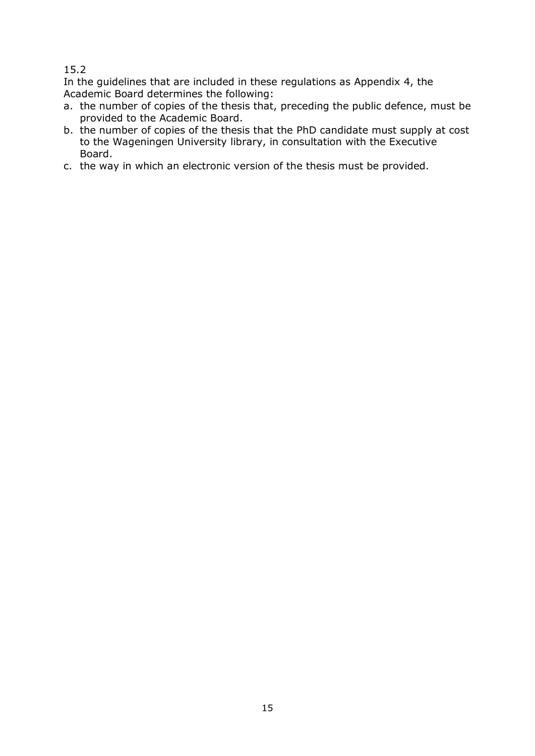### 15.2

In the guidelines that are included in these regulations as Appendix 4, the Academic Board determines the following:

- a. the number of copies of the thesis that, preceding the public defence, must be provided to the Academic Board.
- b. the number of copies of the thesis that the PhD candidate must supply at cost to the Wageningen University library, in consultation with the Executive Board.
- c. the way in which an electronic version of the thesis must be provided.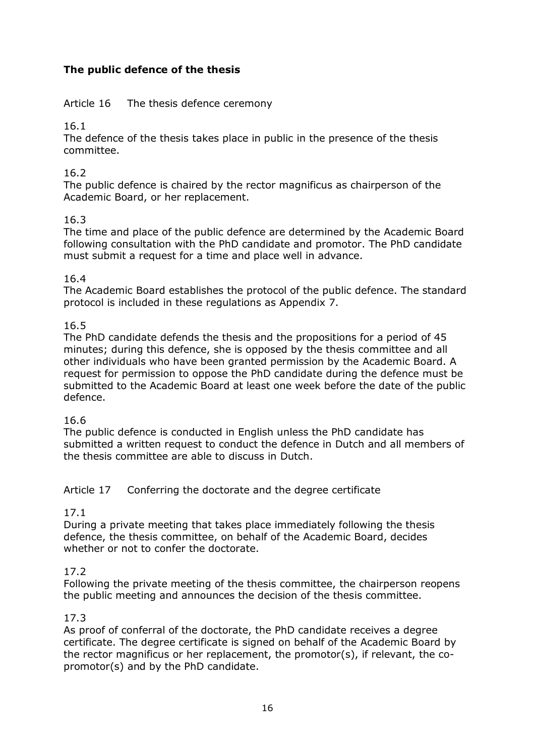# **The public defence of the thesis**

### Article 16 The thesis defence ceremony

16.1

The defence of the thesis takes place in public in the presence of the thesis committee.

### 16.2

The public defence is chaired by the rector magnificus as chairperson of the Academic Board, or her replacement.

# 16.3

The time and place of the public defence are determined by the Academic Board following consultation with the PhD candidate and promotor. The PhD candidate must submit a request for a time and place well in advance.

### 16.4

The Academic Board establishes the protocol of the public defence. The standard protocol is included in these regulations as Appendix 7.

### 16.5

The PhD candidate defends the thesis and the propositions for a period of 45 minutes; during this defence, she is opposed by the thesis committee and all other individuals who have been granted permission by the Academic Board. A request for permission to oppose the PhD candidate during the defence must be submitted to the Academic Board at least one week before the date of the public defence.

#### 16.6

The public defence is conducted in English unless the PhD candidate has submitted a written request to conduct the defence in Dutch and all members of the thesis committee are able to discuss in Dutch.

#### Article 17 Conferring the doctorate and the degree certificate

# 17.1

During a private meeting that takes place immediately following the thesis defence, the thesis committee, on behalf of the Academic Board, decides whether or not to confer the doctorate.

#### 17.2

Following the private meeting of the thesis committee, the chairperson reopens the public meeting and announces the decision of the thesis committee.

#### 17.3

As proof of conferral of the doctorate, the PhD candidate receives a degree certificate. The degree certificate is signed on behalf of the Academic Board by the rector magnificus or her replacement, the promotor(s), if relevant, the copromotor(s) and by the PhD candidate.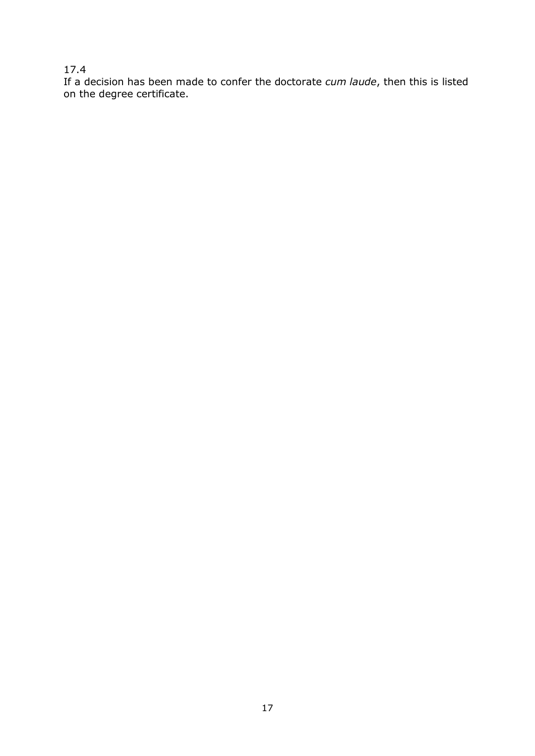# 17.4

If a decision has been made to confer the doctorate *cum laude*, then this is listed on the degree certificate.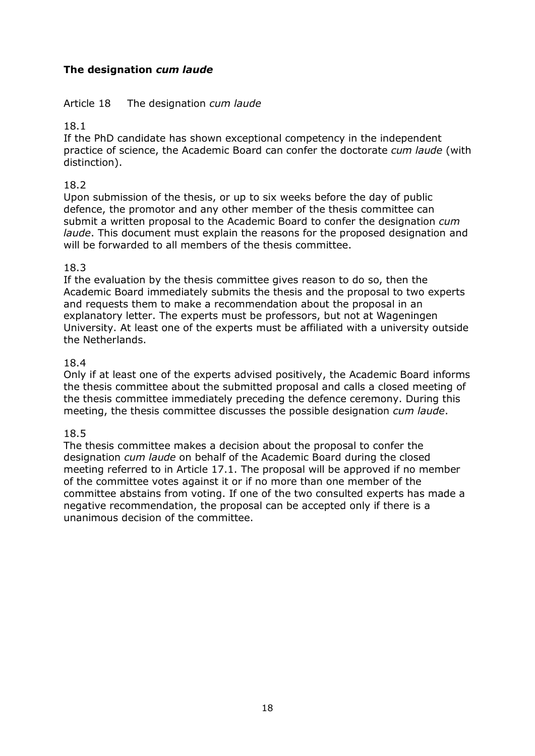# **The designation** *cum laude*

#### Article 18 The designation *cum laude*

### 18.1

If the PhD candidate has shown exceptional competency in the independent practice of science, the Academic Board can confer the doctorate *cum laude* (with distinction).

#### 18.2

Upon submission of the thesis, or up to six weeks before the day of public defence, the promotor and any other member of the thesis committee can submit a written proposal to the Academic Board to confer the designation *cum laude*. This document must explain the reasons for the proposed designation and will be forwarded to all members of the thesis committee.

### 18.3

If the evaluation by the thesis committee gives reason to do so, then the Academic Board immediately submits the thesis and the proposal to two experts and requests them to make a recommendation about the proposal in an explanatory letter. The experts must be professors, but not at Wageningen University. At least one of the experts must be affiliated with a university outside the Netherlands.

### 18.4

Only if at least one of the experts advised positively, the Academic Board informs the thesis committee about the submitted proposal and calls a closed meeting of the thesis committee immediately preceding the defence ceremony. During this meeting, the thesis committee discusses the possible designation *cum laude*.

#### 18.5

The thesis committee makes a decision about the proposal to confer the designation *cum laude* on behalf of the Academic Board during the closed meeting referred to in Article 17.1. The proposal will be approved if no member of the committee votes against it or if no more than one member of the committee abstains from voting. If one of the two consulted experts has made a negative recommendation, the proposal can be accepted only if there is a unanimous decision of the committee.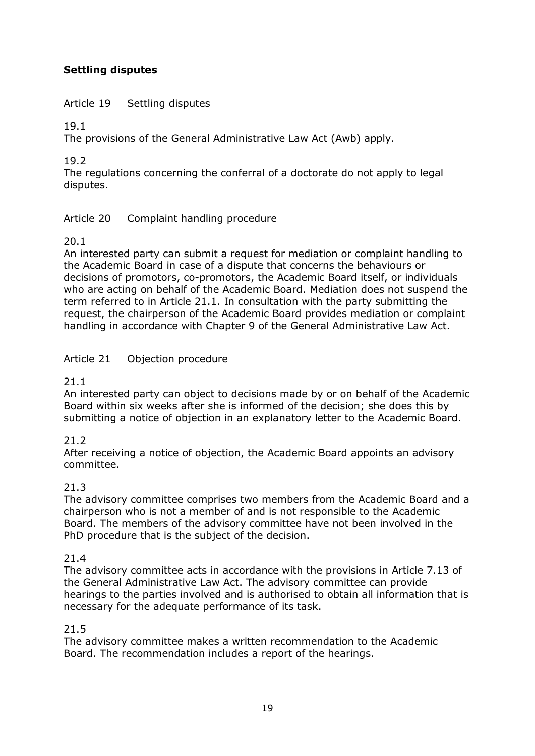# **Settling disputes**

### Article 19 Settling disputes

19.1

The provisions of the General Administrative Law Act (Awb) apply.

19.2

The regulations concerning the conferral of a doctorate do not apply to legal disputes.

# Article 20 Complaint handling procedure

#### 20.1

An interested party can submit a request for mediation or complaint handling to the Academic Board in case of a dispute that concerns the behaviours or decisions of promotors, co-promotors, the Academic Board itself, or individuals who are acting on behalf of the Academic Board. Mediation does not suspend the term referred to in Article 21.1. In consultation with the party submitting the request, the chairperson of the Academic Board provides mediation or complaint handling in accordance with Chapter 9 of the General Administrative Law Act.

# Article 21 Objection procedure

### 21.1

An interested party can object to decisions made by or on behalf of the Academic Board within six weeks after she is informed of the decision; she does this by submitting a notice of objection in an explanatory letter to the Academic Board.

# 21.2

After receiving a notice of objection, the Academic Board appoints an advisory committee.

#### 21.3

The advisory committee comprises two members from the Academic Board and a chairperson who is not a member of and is not responsible to the Academic Board. The members of the advisory committee have not been involved in the PhD procedure that is the subject of the decision.

#### 21.4

The advisory committee acts in accordance with the provisions in Article 7.13 of the General Administrative Law Act. The advisory committee can provide hearings to the parties involved and is authorised to obtain all information that is necessary for the adequate performance of its task.

#### 21.5

The advisory committee makes a written recommendation to the Academic Board. The recommendation includes a report of the hearings.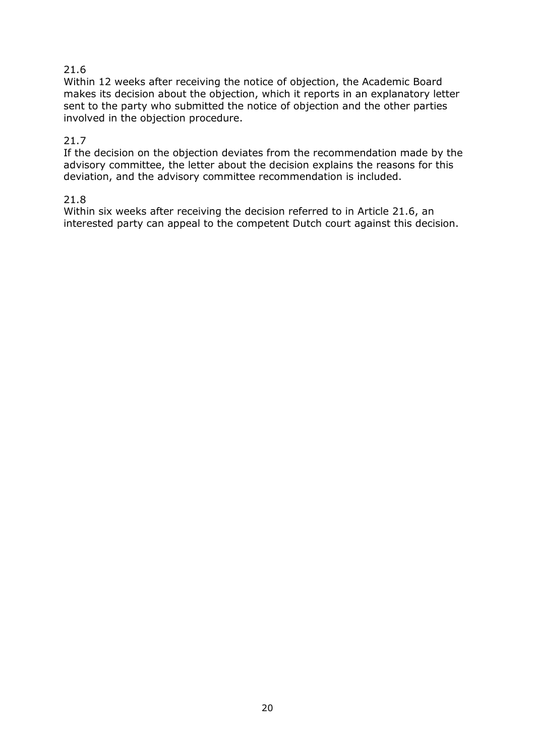# 21.6

Within 12 weeks after receiving the notice of objection, the Academic Board makes its decision about the objection, which it reports in an explanatory letter sent to the party who submitted the notice of objection and the other parties involved in the objection procedure.

### 21.7

If the decision on the objection deviates from the recommendation made by the advisory committee, the letter about the decision explains the reasons for this deviation, and the advisory committee recommendation is included.

#### 21.8

Within six weeks after receiving the decision referred to in Article 21.6, an interested party can appeal to the competent Dutch court against this decision.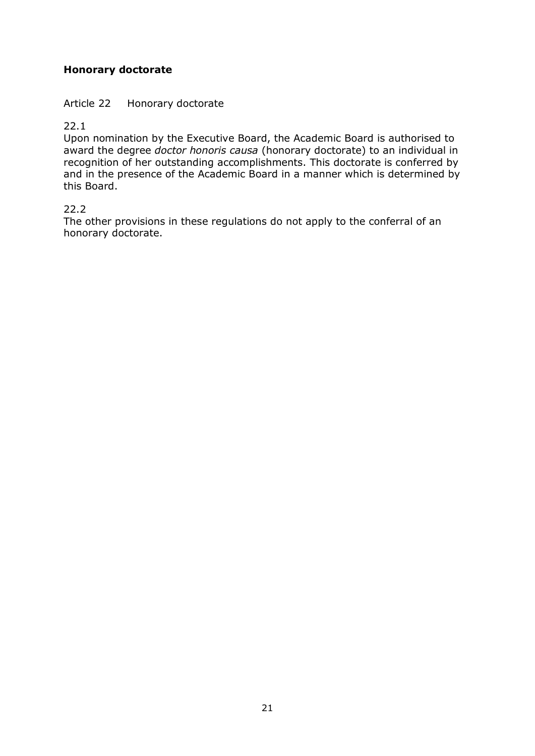# **Honorary doctorate**

### Article 22 Honorary doctorate

22.1

Upon nomination by the Executive Board, the Academic Board is authorised to award the degree *doctor honoris causa* (honorary doctorate) to an individual in recognition of her outstanding accomplishments. This doctorate is conferred by and in the presence of the Academic Board in a manner which is determined by this Board.

### 22.2

The other provisions in these regulations do not apply to the conferral of an honorary doctorate.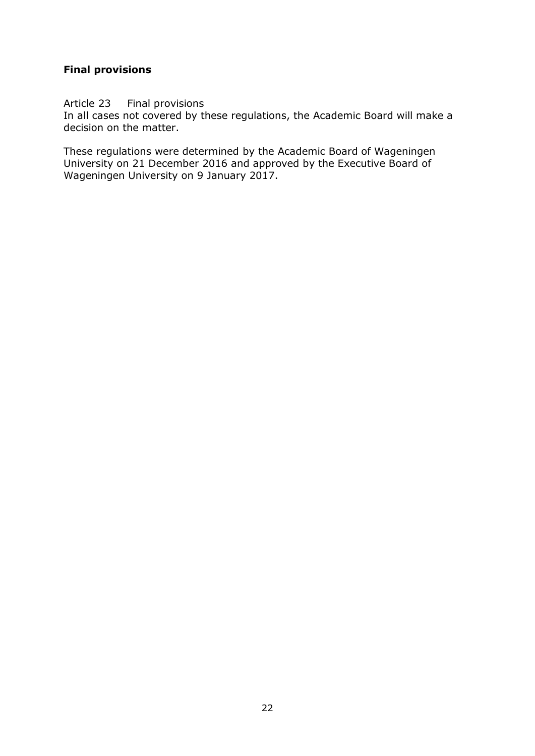### **Final provisions**

#### Article 23 Final provisions

In all cases not covered by these regulations, the Academic Board will make a decision on the matter.

These regulations were determined by the Academic Board of Wageningen University on 21 December 2016 and approved by the Executive Board of Wageningen University on 9 January 2017.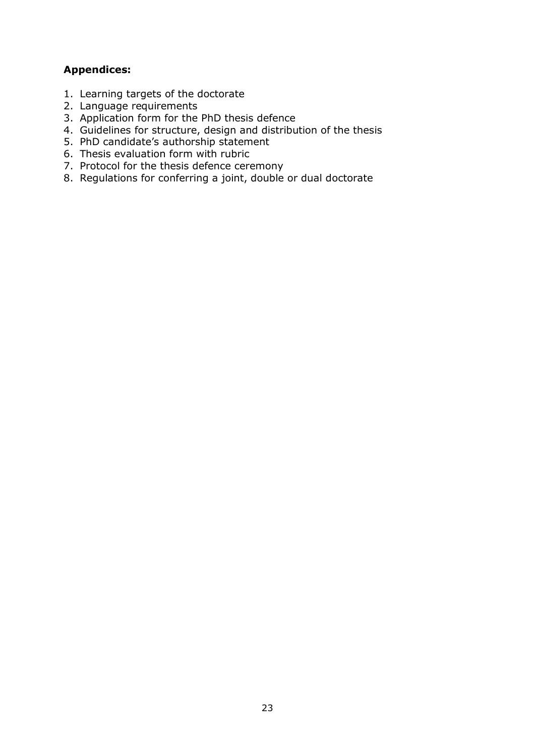# **Appendices:**

- 1. Learning targets of the doctorate
- 2. Language requirements
- 3. Application form for the PhD thesis defence
- 4. Guidelines for structure, design and distribution of the thesis
- 5. PhD candidate's authorship statement
- 6. Thesis evaluation form with rubric
- 7. Protocol for the thesis defence ceremony
- 8. Regulations for conferring a joint, double or dual doctorate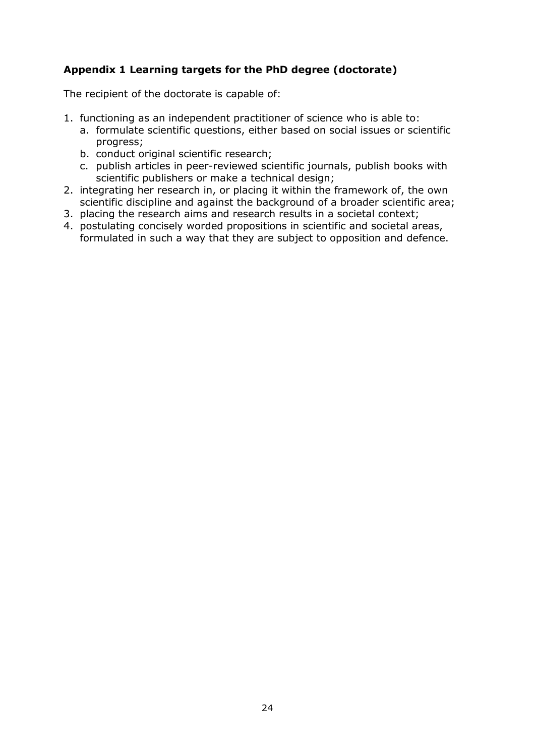# **Appendix 1 Learning targets for the PhD degree (doctorate)**

The recipient of the doctorate is capable of:

- 1. functioning as an independent practitioner of science who is able to:
	- a. formulate scientific questions, either based on social issues or scientific progress;
	- b. conduct original scientific research;
	- c. publish articles in peer-reviewed scientific journals, publish books with scientific publishers or make a technical design;
- 2. integrating her research in, or placing it within the framework of, the own scientific discipline and against the background of a broader scientific area;
- 3. placing the research aims and research results in a societal context;
- 4. postulating concisely worded propositions in scientific and societal areas, formulated in such a way that they are subject to opposition and defence.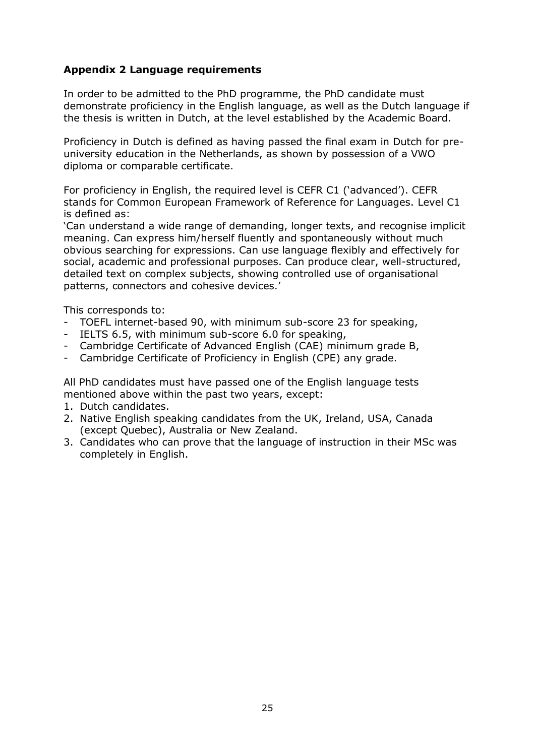### **Appendix 2 Language requirements**

In order to be admitted to the PhD programme, the PhD candidate must demonstrate proficiency in the English language, as well as the Dutch language if the thesis is written in Dutch, at the level established by the Academic Board.

Proficiency in Dutch is defined as having passed the final exam in Dutch for preuniversity education in the Netherlands, as shown by possession of a VWO diploma or comparable certificate.

For proficiency in English, the required level is CEFR C1 ('advanced'). CEFR stands for Common European Framework of Reference for Languages. Level C1 is defined as:

'Can understand a wide range of demanding, longer texts, and recognise implicit meaning. Can express him/herself fluently and spontaneously without much obvious searching for expressions. Can use language flexibly and effectively for social, academic and professional purposes. Can produce clear, well-structured, detailed text on complex subjects, showing controlled use of organisational patterns, connectors and cohesive devices.'

This corresponds to:

- TOEFL internet-based 90, with minimum sub-score 23 for speaking,
- IELTS 6.5, with minimum sub-score 6.0 for speaking,
- Cambridge Certificate of Advanced English (CAE) minimum grade B,
- Cambridge Certificate of Proficiency in English (CPE) any grade.

All PhD candidates must have passed one of the English language tests mentioned above within the past two years, except:

- 1. Dutch candidates.
- 2. Native English speaking candidates from the UK, Ireland, USA, Canada (except Quebec), Australia or New Zealand.
- 3. Candidates who can prove that the language of instruction in their MSc was completely in English.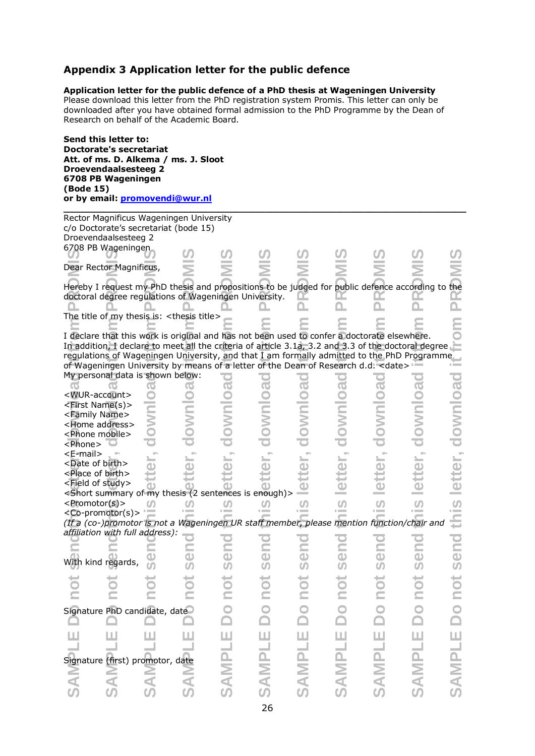# **Appendix 3 Application letter for the public defence**

#### **Application letter for the public defence of a PhD thesis at Wageningen University**

Please download this letter from the PhD registration system Promis. This letter can only be downloaded after you have obtained formal admission to the PhD Programme by the Dean of Research on behalf of the Academic Board.

| Send this letter to:<br><b>Doctorate's secretariat</b><br>Att. of ms. D. Alkema / ms. J. Sloot<br><b>Droevendaalsesteeg 2</b><br>6708 PB Wageningen<br>(Bode 15)<br>or by email: promovendi@wur.nl |   |     |                          |                         |                          |               |                   |               |                   |
|----------------------------------------------------------------------------------------------------------------------------------------------------------------------------------------------------|---|-----|--------------------------|-------------------------|--------------------------|---------------|-------------------|---------------|-------------------|
| Rector Magnificus Wageningen University                                                                                                                                                            |   |     |                          |                         |                          |               |                   |               |                   |
| c/o Doctorate's secretariat (bode 15)                                                                                                                                                              |   |     |                          |                         |                          |               |                   |               |                   |
| Droevendaalsesteeg 2                                                                                                                                                                               |   |     |                          |                         |                          |               |                   |               |                   |
| 6708 PB Wageningen                                                                                                                                                                                 |   |     |                          |                         |                          |               |                   |               |                   |
|                                                                                                                                                                                                    |   |     |                          |                         |                          |               |                   |               |                   |
| Dear Rector Magnificus,                                                                                                                                                                            |   |     |                          |                         |                          |               |                   |               |                   |
| Hereby I request my PhD thesis and propositions to be judged for public defence according to the                                                                                                   |   |     |                          |                         |                          |               |                   |               |                   |
| doctoral degree regulations of Wageningen University.                                                                                                                                              |   |     |                          |                         |                          |               |                   |               |                   |
|                                                                                                                                                                                                    |   |     |                          |                         |                          |               |                   |               |                   |
| The title of my thesis is: <thesis title=""></thesis>                                                                                                                                              |   |     |                          |                         |                          |               |                   |               |                   |
|                                                                                                                                                                                                    |   |     |                          |                         |                          |               |                   |               |                   |
| I declare that this work is original and has not been used to confer a doctorate elsewhere.                                                                                                        |   |     |                          |                         |                          |               |                   |               |                   |
| In addition, I declare to meet all the criteria of article 3.1a, 3.2 and 3.3 of the doctoral degree                                                                                                |   |     |                          |                         |                          |               |                   |               |                   |
| regulations of Wageningen University, and that I am formally admitted to the PhD Programme                                                                                                         |   |     |                          |                         |                          |               |                   |               |                   |
| of Wageningen University by means of a letter of the Dean of Research d.d. < date>                                                                                                                 |   |     |                          |                         |                          |               |                   |               |                   |
| My personal data is shown below:                                                                                                                                                                   |   |     |                          |                         |                          |               |                   |               |                   |
|                                                                                                                                                                                                    |   |     |                          |                         |                          |               |                   |               |                   |
| <wur-account></wur-account>                                                                                                                                                                        |   |     |                          |                         |                          |               |                   |               |                   |
| <first name(s)=""></first>                                                                                                                                                                         |   |     |                          |                         |                          |               |                   |               |                   |
| <family name=""></family>                                                                                                                                                                          |   |     |                          |                         |                          |               |                   |               |                   |
| <home address=""></home>                                                                                                                                                                           |   |     |                          |                         |                          |               |                   |               | <b>POIUMOD</b>    |
| <phone mobile=""></phone>                                                                                                                                                                          |   |     |                          |                         |                          |               |                   |               |                   |
| <phone></phone>                                                                                                                                                                                    |   |     |                          |                         |                          |               |                   |               |                   |
| <e-mail></e-mail>                                                                                                                                                                                  |   |     |                          |                         |                          |               |                   |               |                   |
| <date birth="" of=""></date>                                                                                                                                                                       |   |     |                          |                         |                          |               |                   |               |                   |
| <place birth="" of=""></place>                                                                                                                                                                     |   |     |                          |                         |                          |               |                   |               |                   |
| <field of="" study=""></field>                                                                                                                                                                     |   |     |                          |                         |                          |               |                   |               |                   |
| <short (2="" enough)="" is="" my="" of="" sentences="" summary="" thesis=""></short>                                                                                                               |   |     |                          |                         |                          |               |                   |               |                   |
| <promotor(s)></promotor(s)>                                                                                                                                                                        |   |     |                          |                         |                          | <b>S</b>      |                   | <b>S</b>      | <b>S</b>          |
| <co-promotor(s)><br/>(If a (co-)promotor is not a Wageningen UR staff member, please mention function/chair and</co-promotor(s)>                                                                   |   |     |                          |                         |                          |               |                   |               |                   |
| affiliation with full address):                                                                                                                                                                    |   |     |                          |                         |                          |               |                   |               |                   |
|                                                                                                                                                                                                    |   |     |                          |                         |                          |               |                   |               |                   |
|                                                                                                                                                                                                    |   |     |                          | <b>Gen</b>              |                          | <b>Gen</b>    |                   | <b>Gen</b>    |                   |
| With kind regards,                                                                                                                                                                                 |   | 500 |                          |                         |                          |               |                   |               |                   |
|                                                                                                                                                                                                    |   |     |                          |                         |                          |               |                   |               |                   |
| hot                                                                                                                                                                                                |   | DOL |                          | not                     |                          | not           |                   | not           |                   |
|                                                                                                                                                                                                    |   |     |                          |                         |                          |               |                   |               |                   |
|                                                                                                                                                                                                    |   |     |                          |                         |                          |               |                   |               |                   |
| Signature PhD candidate, date                                                                                                                                                                      |   |     |                          | $\overline{\mathsf{D}}$ |                          |               |                   |               |                   |
|                                                                                                                                                                                                    |   |     |                          |                         |                          |               |                   |               |                   |
| Ш                                                                                                                                                                                                  | ш | ш   |                          |                         |                          |               |                   |               |                   |
|                                                                                                                                                                                                    |   |     |                          |                         |                          |               |                   |               |                   |
|                                                                                                                                                                                                    |   |     |                          |                         |                          |               |                   |               |                   |
| Signature (first) promotor, date                                                                                                                                                                   |   |     |                          |                         |                          |               |                   |               |                   |
|                                                                                                                                                                                                    |   |     | <b>SAMPLE Do not sen</b> | <b>SAMPLE</b>           | <b>SAMPLE Do not sen</b> | <b>SAMPLE</b> | SAMPLE Do not sen | <b>SAMPLE</b> | SAMPLE Do not sen |
|                                                                                                                                                                                                    |   |     |                          |                         |                          |               |                   |               |                   |
|                                                                                                                                                                                                    |   |     |                          |                         |                          |               |                   |               |                   |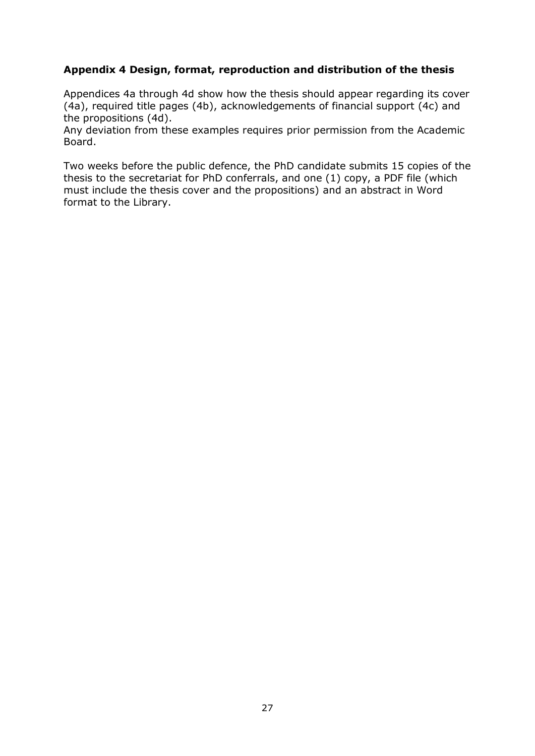### **Appendix 4 Design, format, reproduction and distribution of the thesis**

Appendices 4a through 4d show how the thesis should appear regarding its cover (4a), required title pages (4b), acknowledgements of financial support (4c) and the propositions (4d).

Any deviation from these examples requires prior permission from the Academic Board.

Two weeks before the public defence, the PhD candidate submits 15 copies of the thesis to the secretariat for PhD conferrals, and one (1) copy, a PDF file (which must include the thesis cover and the propositions) and an abstract in Word format to the Library.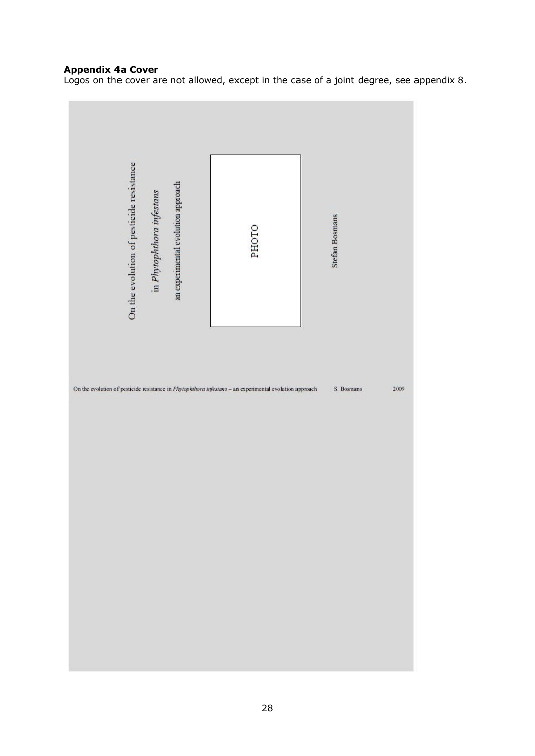#### **Appendix 4a Cover**

Logos on the cover are not allowed, except in the case of a joint degree, see appendix 8.

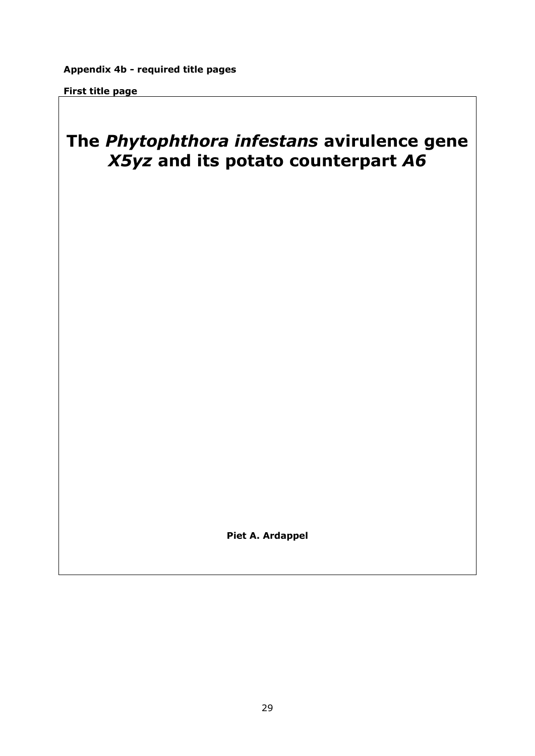#### **First title page**

# **The** *Phytophthora infestans* **avirulence gene**  *X5yz* **and its potato counterpart** *A6*

**Piet A. Ardappel**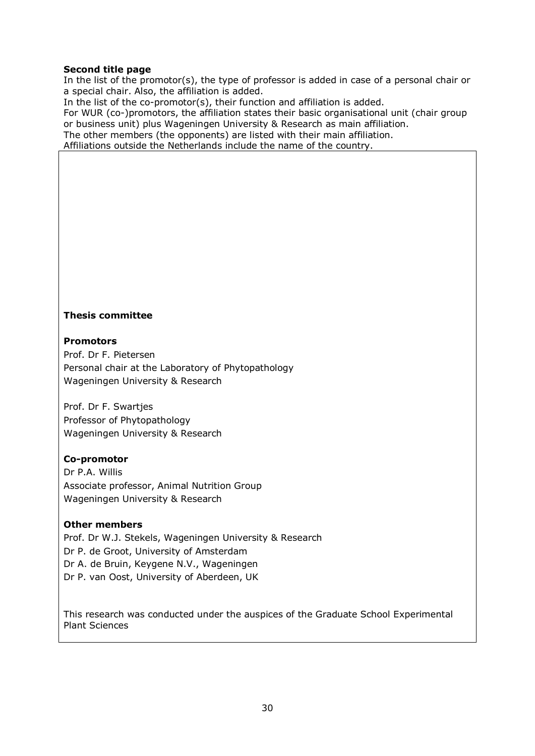#### **Second title page**

In the list of the promotor(s), the type of professor is added in case of a personal chair or a special chair. Also, the affiliation is added.

In the list of the co-promotor(s), their function and affiliation is added.

For WUR (co-)promotors, the affiliation states their basic organisational unit (chair group or business unit) plus Wageningen University & Research as main affiliation. The other members (the opponents) are listed with their main affiliation.

Affiliations outside the Netherlands include the name of the country.

#### **Thesis committee**

#### **Promotors**

Prof. Dr F. Pietersen Personal chair at the Laboratory of Phytopathology Wageningen University & Research

Prof. Dr F. Swartjes Professor of Phytopathology Wageningen University & Research

#### **Co-promotor**

Dr P.A. Willis Associate professor, Animal Nutrition Group Wageningen University & Research

#### **Other members**

Prof. Dr W.J. Stekels, Wageningen University & Research Dr P. de Groot, University of Amsterdam Dr A. de Bruin, Keygene N.V., Wageningen Dr P. van Oost, University of Aberdeen, UK

This research was conducted under the auspices of the Graduate School Experimental Plant Sciences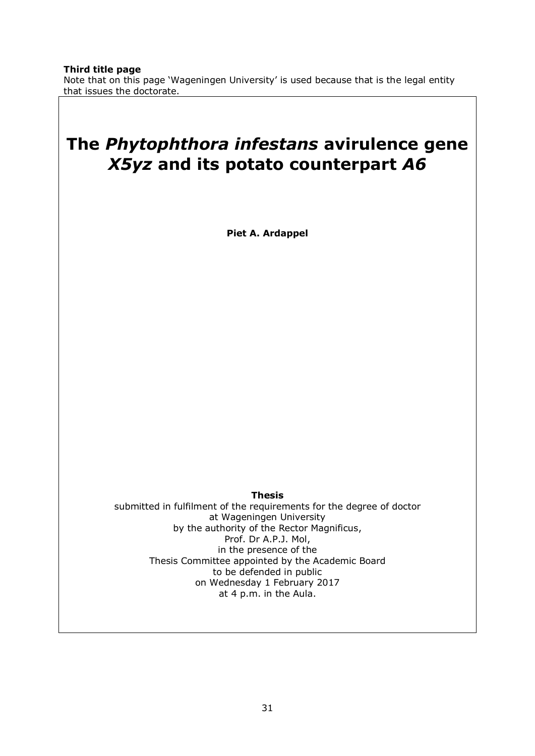# **The** *Phytophthora infestans* **avirulence gene**  *X5yz* **and its potato counterpart** *A6*

**Piet A. Ardappel**

**Thesis**

submitted in fulfilment of the requirements for the degree of doctor at Wageningen University by the authority of the Rector Magnificus, Prof. Dr A.P.J. Mol, in the presence of the Thesis Committee appointed by the Academic Board to be defended in public on Wednesday 1 February 2017 at 4 p.m. in the Aula.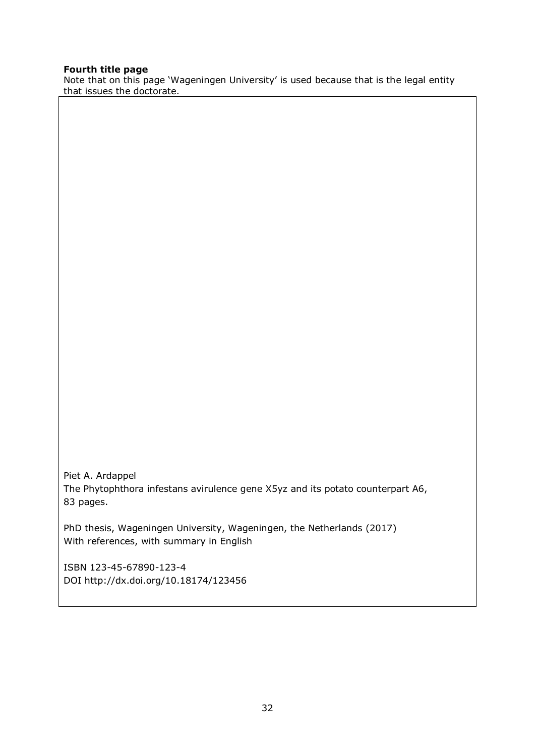#### **Fourth title page**

Note that on this page 'Wageningen University' is used because that is the legal entity that issues the doctorate.

Piet A. Ardappel The Phytophthora infestans avirulence gene X5yz and its potato counterpart A6, 83 pages.

PhD thesis, Wageningen University, Wageningen, the Netherlands (2017) With references, with summary in English

ISBN 123-45-67890-123-4 DOI http://dx.doi.org/10.18174/123456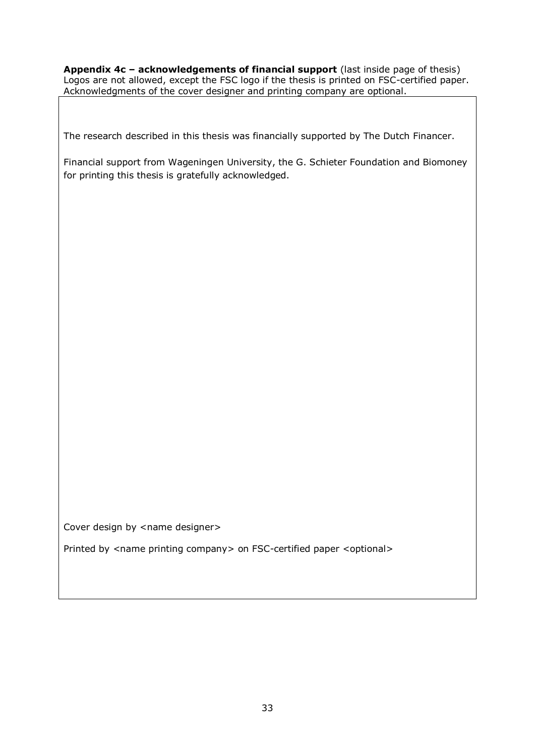**Appendix 4c – acknowledgements of financial support** (last inside page of thesis) Logos are not allowed, except the FSC logo if the thesis is printed on FSC-certified paper. Acknowledgments of the cover designer and printing company are optional.

The research described in this thesis was financially supported by The Dutch Financer.

Financial support from Wageningen University, the G. Schieter Foundation and Biomoney for printing this thesis is gratefully acknowledged.

Cover design by <name designer>

Printed by <name printing company> on FSC-certified paper <optional>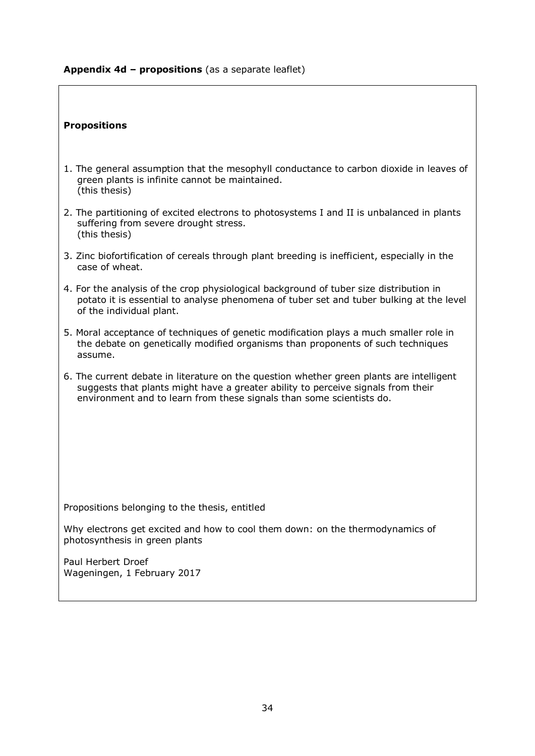#### **Appendix 4d – propositions** (as a separate leaflet)

#### **Propositions**

- 1. The general assumption that the mesophyll conductance to carbon dioxide in leaves of green plants is infinite cannot be maintained. (this thesis)
- 2. The partitioning of excited electrons to photosystems I and II is unbalanced in plants suffering from severe drought stress. (this thesis)
- 3. Zinc biofortification of cereals through plant breeding is inefficient, especially in the case of wheat.
- 4. For the analysis of the crop physiological background of tuber size distribution in potato it is essential to analyse phenomena of tuber set and tuber bulking at the level of the individual plant.
- 5. Moral acceptance of techniques of genetic modification plays a much smaller role in the debate on genetically modified organisms than proponents of such techniques assume.
- 6. The current debate in literature on the question whether green plants are intelligent suggests that plants might have a greater ability to perceive signals from their environment and to learn from these signals than some scientists do.

Propositions belonging to the thesis, entitled

Why electrons get excited and how to cool them down: on the thermodynamics of photosynthesis in green plants

Paul Herbert Droef Wageningen, 1 February 2017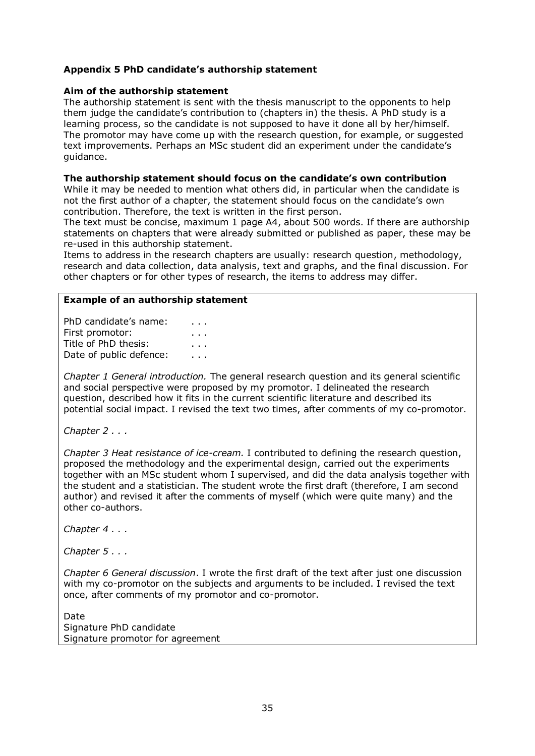#### **Appendix 5 PhD candidate's authorship statement**

#### **Aim of the authorship statement**

The authorship statement is sent with the thesis manuscript to the opponents to help them judge the candidate's contribution to (chapters in) the thesis. A PhD study is a learning process, so the candidate is not supposed to have it done all by her/himself. The promotor may have come up with the research question, for example, or suggested text improvements. Perhaps an MSc student did an experiment under the candidate's guidance.

#### **The authorship statement should focus on the candidate's own contribution**

While it may be needed to mention what others did, in particular when the candidate is not the first author of a chapter, the statement should focus on the candidate's own contribution. Therefore, the text is written in the first person.

The text must be concise, maximum 1 page A4, about 500 words. If there are authorship statements on chapters that were already submitted or published as paper, these may be re-used in this authorship statement.

Items to address in the research chapters are usually: research question, methodology, research and data collection, data analysis, text and graphs, and the final discussion. For other chapters or for other types of research, the items to address may differ.

#### **Example of an authorship statement**

PhD candidate's name: . . . First promotor: The state of the state of the state of the state of the state of the state of the state of the Title of PhD thesis: Title of PhD thesis: Date of public defence: . . .

*Chapter 1 General introduction.* The general research question and its general scientific and social perspective were proposed by my promotor. I delineated the research question, described how it fits in the current scientific literature and described its potential social impact. I revised the text two times, after comments of my co-promotor.

*Chapter 2 . . .*

*Chapter 3 Heat resistance of ice-cream.* I contributed to defining the research question, proposed the methodology and the experimental design, carried out the experiments together with an MSc student whom I supervised, and did the data analysis together with the student and a statistician. The student wrote the first draft (therefore, I am second author) and revised it after the comments of myself (which were quite many) and the other co-authors.

*Chapter 4 . . .*

*Chapter 5 . . .*

*Chapter 6 General discussion*. I wrote the first draft of the text after just one discussion with my co-promotor on the subjects and arguments to be included. I revised the text once, after comments of my promotor and co-promotor.

Date Signature PhD candidate Signature promotor for agreement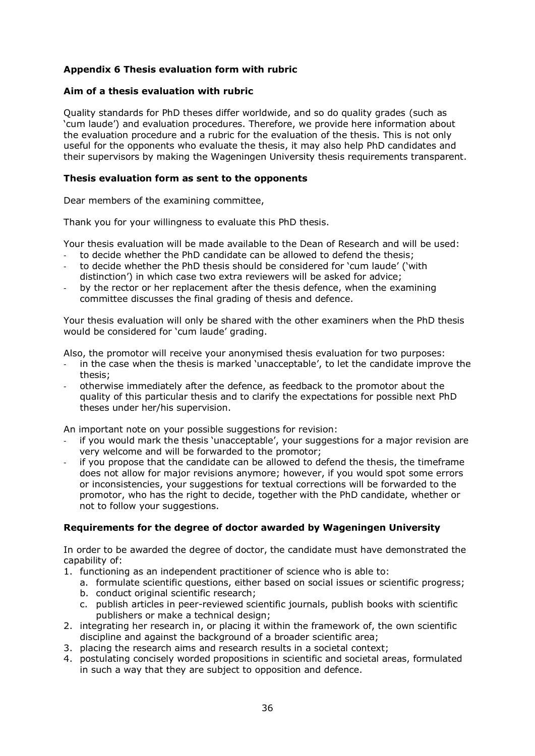#### **Appendix 6 Thesis evaluation form with rubric**

#### **Aim of a thesis evaluation with rubric**

Quality standards for PhD theses differ worldwide, and so do quality grades (such as 'cum laude') and evaluation procedures. Therefore, we provide here information about the evaluation procedure and a rubric for the evaluation of the thesis. This is not only useful for the opponents who evaluate the thesis, it may also help PhD candidates and their supervisors by making the Wageningen University thesis requirements transparent.

#### **Thesis evaluation form as sent to the opponents**

Dear members of the examining committee,

Thank you for your willingness to evaluate this PhD thesis.

Your thesis evaluation will be made available to the Dean of Research and will be used:

- to decide whether the PhD candidate can be allowed to defend the thesis;
- to decide whether the PhD thesis should be considered for 'cum laude' ('with distinction') in which case two extra reviewers will be asked for advice;
- by the rector or her replacement after the thesis defence, when the examining committee discusses the final grading of thesis and defence.

Your thesis evaluation will only be shared with the other examiners when the PhD thesis would be considered for 'cum laude' grading.

Also, the promotor will receive your anonymised thesis evaluation for two purposes:

- in the case when the thesis is marked 'unacceptable', to let the candidate improve the thesis;
- otherwise immediately after the defence, as feedback to the promotor about the quality of this particular thesis and to clarify the expectations for possible next PhD theses under her/his supervision.

An important note on your possible suggestions for revision:

- if you would mark the thesis 'unacceptable', your suggestions for a major revision are very welcome and will be forwarded to the promotor;
- if you propose that the candidate can be allowed to defend the thesis, the timeframe does not allow for major revisions anymore; however, if you would spot some errors or inconsistencies, your suggestions for textual corrections will be forwarded to the promotor, who has the right to decide, together with the PhD candidate, whether or not to follow your suggestions.

#### **Requirements for the degree of doctor awarded by Wageningen University**

In order to be awarded the degree of doctor, the candidate must have demonstrated the capability of:

- 1. functioning as an independent practitioner of science who is able to:
	- a. formulate scientific questions, either based on social issues or scientific progress;
	- b. conduct original scientific research;
	- c. publish articles in peer-reviewed scientific journals, publish books with scientific publishers or make a technical design;
- 2. integrating her research in, or placing it within the framework of, the own scientific discipline and against the background of a broader scientific area;
- 3. placing the research aims and research results in a societal context;
- 4. postulating concisely worded propositions in scientific and societal areas, formulated in such a way that they are subject to opposition and defence.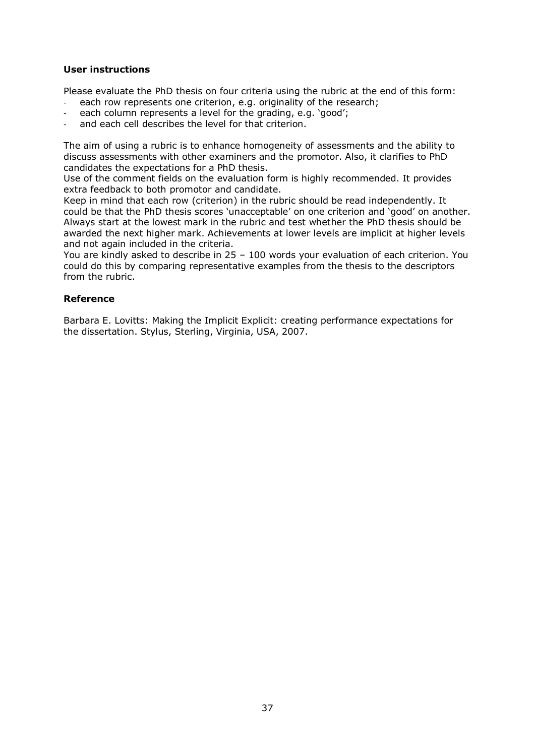#### **User instructions**

Please evaluate the PhD thesis on four criteria using the rubric at the end of this form:

- each row represents one criterion, e.g. originality of the research;
- each column represents a level for the grading, e.g. 'good';
- and each cell describes the level for that criterion.

The aim of using a rubric is to enhance homogeneity of assessments and the ability to discuss assessments with other examiners and the promotor. Also, it clarifies to PhD candidates the expectations for a PhD thesis.

Use of the comment fields on the evaluation form is highly recommended. It provides extra feedback to both promotor and candidate.

Keep in mind that each row (criterion) in the rubric should be read independently. It could be that the PhD thesis scores 'unacceptable' on one criterion and 'good' on another. Always start at the lowest mark in the rubric and test whether the PhD thesis should be awarded the next higher mark. Achievements at lower levels are implicit at higher levels and not again included in the criteria.

You are kindly asked to describe in 25 – 100 words your evaluation of each criterion. You could do this by comparing representative examples from the thesis to the descriptors from the rubric.

#### **Reference**

Barbara E. Lovitts: Making the Implicit Explicit: creating performance expectations for the dissertation. Stylus, Sterling, Virginia, USA, 2007.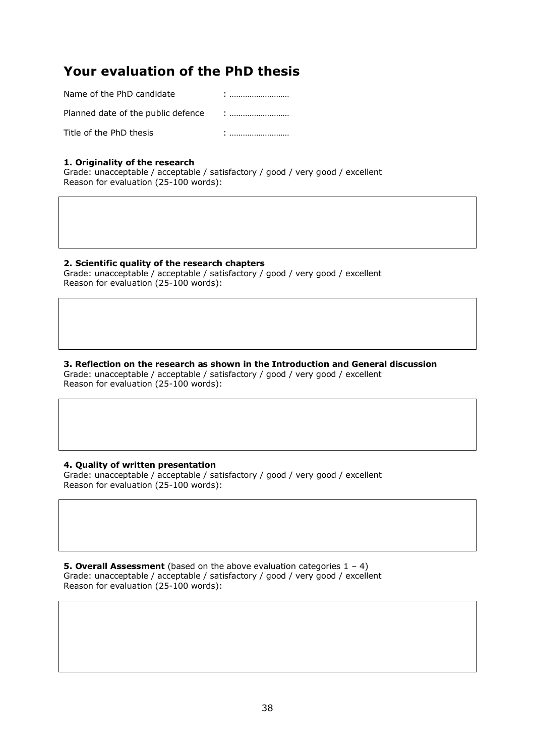# **Your evaluation of the PhD thesis**

| Name of the PhD candidate          |   |
|------------------------------------|---|
| Planned date of the public defence |   |
| Title of the PhD thesis            | ٠ |

#### **1. Originality of the research**

Grade: unacceptable / acceptable / satisfactory / good / very good / excellent Reason for evaluation (25-100 words):

#### **2. Scientific quality of the research chapters**

Grade: unacceptable / acceptable / satisfactory / good / very good / excellent Reason for evaluation (25-100 words):

#### **3. Reflection on the research as shown in the Introduction and General discussion** Grade: unacceptable / acceptable / satisfactory / good / very good / excellent Reason for evaluation (25-100 words):

#### **4. Quality of written presentation**

Grade: unacceptable / acceptable / satisfactory / good / very good / excellent Reason for evaluation (25-100 words):

**5. Overall Assessment** (based on the above evaluation categories 1 – 4) Grade: unacceptable / acceptable / satisfactory / good / very good / excellent Reason for evaluation (25-100 words):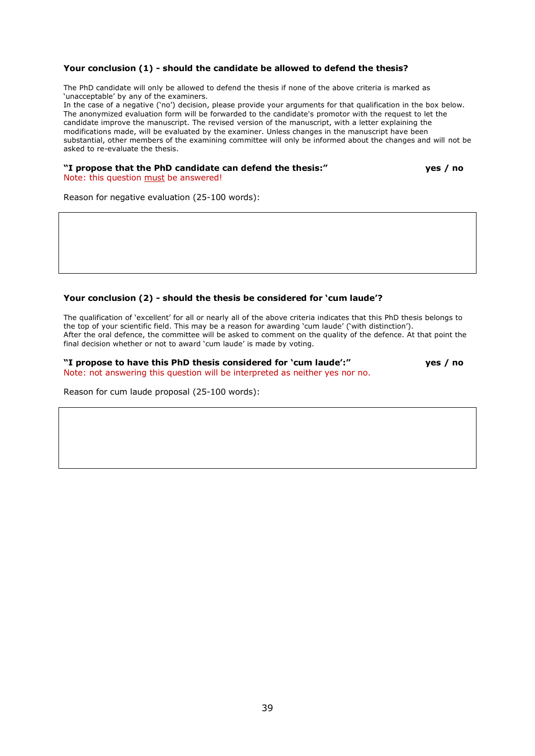#### **Your conclusion (1) - should the candidate be allowed to defend the thesis?**

The PhD candidate will only be allowed to defend the thesis if none of the above criteria is marked as 'unacceptable' by any of the examiners.

In the case of a negative ('no') decision, please provide your arguments for that qualification in the box below. The anonymized evaluation form will be forwarded to the candidate's promotor with the request to let the candidate improve the manuscript. The revised version of the manuscript, with a letter explaining the modifications made, will be evaluated by the examiner. Unless changes in the manuscript have been substantial, other members of the examining committee will only be informed about the changes and will not be asked to re-evaluate the thesis.

#### **"I propose that the PhD candidate can defend the thesis:" yes / no**

Note: this question must be answered!

Reason for negative evaluation (25-100 words):

#### **Your conclusion (2) - should the thesis be considered for 'cum laude'?**

The qualification of 'excellent' for all or nearly all of the above criteria indicates that this PhD thesis belongs to the top of your scientific field. This may be a reason for awarding 'cum laude' ('with distinction'). After the oral defence, the committee will be asked to comment on the quality of the defence. At that point the final decision whether or not to award 'cum laude' is made by voting.

**"I propose to have this PhD thesis considered for 'cum laude':" yes / no** Note: not answering this question will be interpreted as neither yes nor no.

Reason for cum laude proposal (25-100 words):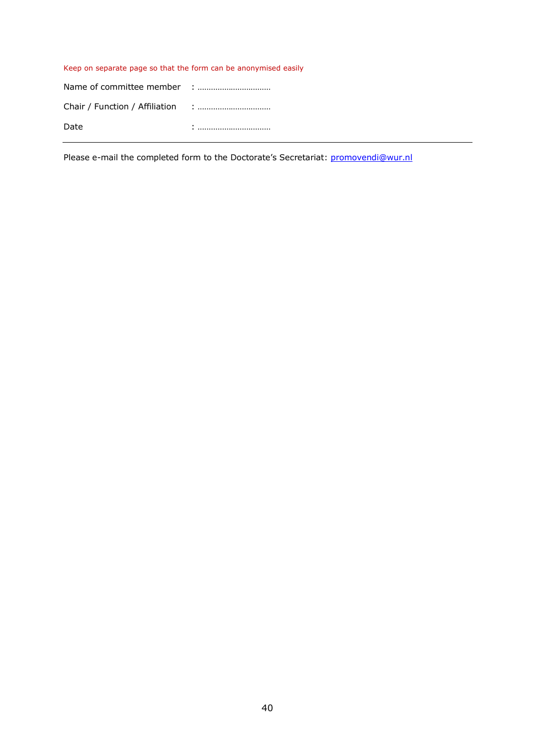#### Keep on separate page so that the form can be anonymised easily

| Date |  |
|------|--|

Please e-mail the completed form to the Doctorate's Secretariat: [promovendi@wur.nl](mailto:promovendi@wur.nl)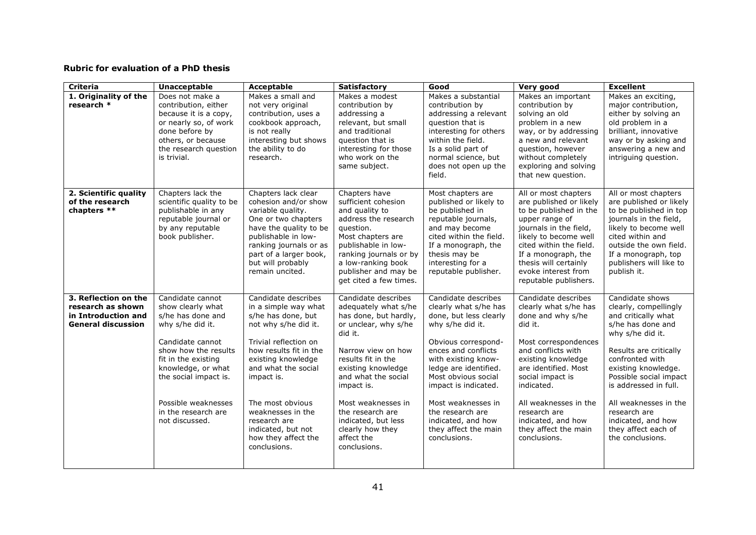#### **Rubric for evaluation of a PhD thesis**

| <b>Criteria</b>                                                                               | <b>Unacceptable</b>                                                                                                                                                                                                                                              | Acceptable                                                                                                                                                                                                                                                                                                                    | <b>Satisfactory</b>                                                                                                                                                                                                                                                                                                               | Good                                                                                                                                                                                                                                                                                                                                            | Very good                                                                                                                                                                                                                                                                                                         | <b>Excellent</b>                                                                                                                                                                                                                                                                                                                          |
|-----------------------------------------------------------------------------------------------|------------------------------------------------------------------------------------------------------------------------------------------------------------------------------------------------------------------------------------------------------------------|-------------------------------------------------------------------------------------------------------------------------------------------------------------------------------------------------------------------------------------------------------------------------------------------------------------------------------|-----------------------------------------------------------------------------------------------------------------------------------------------------------------------------------------------------------------------------------------------------------------------------------------------------------------------------------|-------------------------------------------------------------------------------------------------------------------------------------------------------------------------------------------------------------------------------------------------------------------------------------------------------------------------------------------------|-------------------------------------------------------------------------------------------------------------------------------------------------------------------------------------------------------------------------------------------------------------------------------------------------------------------|-------------------------------------------------------------------------------------------------------------------------------------------------------------------------------------------------------------------------------------------------------------------------------------------------------------------------------------------|
| 1. Originality of the<br>research *                                                           | Does not make a<br>contribution, either<br>because it is a copy,<br>or nearly so, of work<br>done before by<br>others, or because<br>the research question<br>is trivial.                                                                                        | Makes a small and<br>not very original<br>contribution, uses a<br>cookbook approach,<br>is not really<br>interesting but shows<br>the ability to do<br>research.                                                                                                                                                              | Makes a modest<br>contribution by<br>addressing a<br>relevant, but small<br>and traditional<br>question that is<br>interesting for those<br>who work on the<br>same subject.                                                                                                                                                      | Makes a substantial<br>contribution by<br>addressing a relevant<br>question that is<br>interesting for others<br>within the field.<br>Is a solid part of<br>normal science, but<br>does not open up the<br>field.                                                                                                                               | Makes an important<br>contribution by<br>solving an old<br>problem in a new<br>way, or by addressing<br>a new and relevant<br>question, however<br>without completely<br>exploring and solving<br>that new question.                                                                                              | Makes an exciting,<br>major contribution,<br>either by solving an<br>old problem in a<br>brilliant, innovative<br>way or by asking and<br>answering a new and<br>intriguing question.                                                                                                                                                     |
| 2. Scientific quality<br>of the research<br>chapters **                                       | Chapters lack the<br>scientific quality to be<br>publishable in any<br>reputable journal or<br>by any reputable<br>book publisher.                                                                                                                               | Chapters lack clear<br>cohesion and/or show<br>variable quality.<br>One or two chapters<br>have the quality to be<br>publishable in low-<br>ranking journals or as<br>part of a larger book,<br>but will probably<br>remain uncited.                                                                                          | Chapters have<br>sufficient cohesion<br>and quality to<br>address the research<br>question.<br>Most chapters are<br>publishable in low-<br>ranking journals or by<br>a low-ranking book<br>publisher and may be<br>get cited a few times.                                                                                         | Most chapters are<br>published or likely to<br>be published in<br>reputable journals,<br>and may become<br>cited within the field.<br>If a monograph, the<br>thesis may be<br>interesting for a<br>reputable publisher.                                                                                                                         | All or most chapters<br>are published or likely<br>to be published in the<br>upper range of<br>journals in the field,<br>likely to become well<br>cited within the field.<br>If a monograph, the<br>thesis will certainly<br>evoke interest from<br>reputable publishers.                                         | All or most chapters<br>are published or likely<br>to be published in top<br>journals in the field,<br>likely to become well<br>cited within and<br>outside the own field.<br>If a monograph, top<br>publishers will like to<br>publish it.                                                                                               |
| 3. Reflection on the<br>research as shown<br>in Introduction and<br><b>General discussion</b> | Candidate cannot<br>show clearly what<br>s/he has done and<br>why s/he did it.<br>Candidate cannot<br>show how the results<br>fit in the existing<br>knowledge, or what<br>the social impact is.<br>Possible weaknesses<br>in the research are<br>not discussed. | Candidate describes<br>in a simple way what<br>s/he has done, but<br>not why s/he did it.<br>Trivial reflection on<br>how results fit in the<br>existing knowledge<br>and what the social<br>impact is.<br>The most obvious<br>weaknesses in the<br>research are<br>indicated, but not<br>how they affect the<br>conclusions. | Candidate describes<br>adequately what s/he<br>has done, but hardly,<br>or unclear, why s/he<br>did it.<br>Narrow view on how<br>results fit in the<br>existing knowledge<br>and what the social<br>impact is.<br>Most weaknesses in<br>the research are<br>indicated, but less<br>clearly how they<br>affect the<br>conclusions. | Candidate describes<br>clearly what s/he has<br>done, but less clearly<br>why s/he did it.<br>Obvious correspond-<br>ences and conflicts<br>with existing know-<br>ledge are identified.<br>Most obvious social<br>impact is indicated.<br>Most weaknesses in<br>the research are<br>indicated, and how<br>they affect the main<br>conclusions. | Candidate describes<br>clearly what s/he has<br>done and why s/he<br>did it.<br>Most correspondences<br>and conflicts with<br>existing knowledge<br>are identified. Most<br>social impact is<br>indicated.<br>All weaknesses in the<br>research are<br>indicated, and how<br>they affect the main<br>conclusions. | Candidate shows<br>clearly, compellingly<br>and critically what<br>s/he has done and<br>why s/he did it.<br>Results are critically<br>confronted with<br>existing knowledge.<br>Possible social impact<br>is addressed in full.<br>All weaknesses in the<br>research are<br>indicated, and how<br>they affect each of<br>the conclusions. |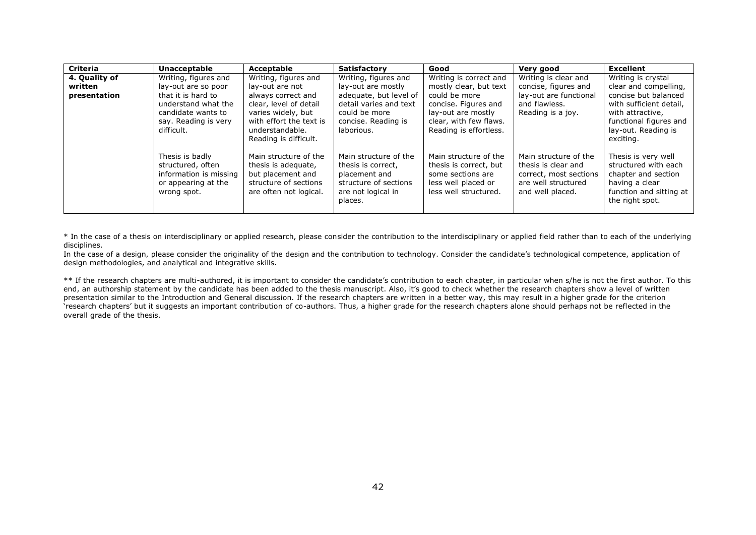| <b>Criteria</b> | <b>Unacceptable</b>                                                                                   | Acceptable                                                                                                                                | <b>Satisfactory</b>                                                                                                    | Good                                                                                                                 | Very good                                                                                                         | <b>Excellent</b>                                                                                                                   |
|-----------------|-------------------------------------------------------------------------------------------------------|-------------------------------------------------------------------------------------------------------------------------------------------|------------------------------------------------------------------------------------------------------------------------|----------------------------------------------------------------------------------------------------------------------|-------------------------------------------------------------------------------------------------------------------|------------------------------------------------------------------------------------------------------------------------------------|
| 4. Quality of   | Writing, figures and                                                                                  | Writing, figures and                                                                                                                      | Writing, figures and                                                                                                   | Writing is correct and                                                                                               | Writing is clear and                                                                                              | Writing is crystal                                                                                                                 |
| written         | lay-out are so poor                                                                                   | lay-out are not                                                                                                                           | lay-out are mostly                                                                                                     | mostly clear, but text                                                                                               | concise, figures and                                                                                              | clear and compelling,                                                                                                              |
| presentation    | that it is hard to<br>understand what the<br>candidate wants to<br>say. Reading is very<br>difficult. | always correct and<br>clear, level of detail<br>varies widely, but<br>with effort the text is<br>understandable.<br>Reading is difficult. | adequate, but level of<br>detail varies and text<br>could be more<br>concise. Reading is<br>laborious.                 | could be more<br>concise. Figures and<br>lay-out are mostly<br>clear, with few flaws.<br>Reading is effortless.      | lay-out are functional<br>and flawless.<br>Reading is a joy.                                                      | concise but balanced<br>with sufficient detail,<br>with attractive.<br>functional figures and<br>lay-out. Reading is<br>exciting.  |
|                 | Thesis is badly<br>structured, often<br>information is missing<br>or appearing at the<br>wrong spot.  | Main structure of the<br>thesis is adequate,<br>but placement and<br>structure of sections<br>are often not logical.                      | Main structure of the<br>thesis is correct,<br>placement and<br>structure of sections<br>are not logical in<br>places. | Main structure of the<br>thesis is correct, but<br>some sections are<br>less well placed or<br>less well structured. | Main structure of the<br>thesis is clear and<br>correct, most sections<br>are well structured<br>and well placed. | Thesis is very well<br>structured with each<br>chapter and section<br>having a clear<br>function and sitting at<br>the right spot. |

\* In the case of a thesis on interdisciplinary or applied research, please consider the contribution to the interdisciplinary or applied field rather than to each of the underlying disciplines.

In the case of a design, please consider the originality of the design and the contribution to technology. Consider the candidate's technological competence, application of design methodologies, and analytical and integrative skills.

\*\* If the research chapters are multi-authored, it is important to consider the candidate's contribution to each chapter, in particular when s/he is not the first author. To this end, an authorship statement by the candidate has been added to the thesis manuscript. Also, it's good to check whether the research chapters show a level of written presentation similar to the Introduction and General discussion. If the research chapters are written in a better way, this may result in a higher grade for the criterion 'research chapters' but it suggests an important contribution of co-authors. Thus, a higher grade for the research chapters alone should perhaps not be reflected in the overall grade of the thesis.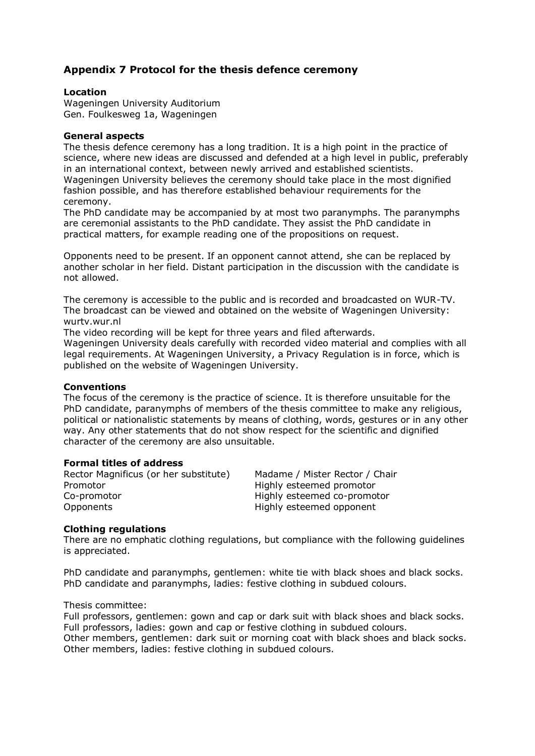### **Appendix 7 Protocol for the thesis defence ceremony**

#### **Location**

Wageningen University Auditorium Gen. Foulkesweg 1a, Wageningen

#### **General aspects**

The thesis defence ceremony has a long tradition. It is a high point in the practice of science, where new ideas are discussed and defended at a high level in public, preferably in an international context, between newly arrived and established scientists. Wageningen University believes the ceremony should take place in the most dignified fashion possible, and has therefore established behaviour requirements for the ceremony.

The PhD candidate may be accompanied by at most two paranymphs. The paranymphs are ceremonial assistants to the PhD candidate. They assist the PhD candidate in practical matters, for example reading one of the propositions on request.

Opponents need to be present. If an opponent cannot attend, she can be replaced by another scholar in her field. Distant participation in the discussion with the candidate is not allowed.

The ceremony is accessible to the public and is recorded and broadcasted on WUR-TV. The broadcast can be viewed and obtained on the website of Wageningen University: wurtv.wur.nl

The video recording will be kept for three years and filed afterwards.

Wageningen University deals carefully with recorded video material and complies with all legal requirements. At Wageningen University, a Privacy Regulation is in force, which is published on the website of Wageningen University.

#### **Conventions**

The focus of the ceremony is the practice of science. It is therefore unsuitable for the PhD candidate, paranymphs of members of the thesis committee to make any religious, political or nationalistic statements by means of clothing, words, gestures or in any other way. Any other statements that do not show respect for the scientific and dignified character of the ceremony are also unsuitable.

#### **Formal titles of address**

Rector Magnificus (or her substitute) Madame / Mister Rector / Chair Promotor **Highly esteemed promotor** Co-promotor Highly esteemed co-promotor Opponents Highly esteemed opponent

#### **Clothing regulations**

There are no emphatic clothing regulations, but compliance with the following guidelines is appreciated.

PhD candidate and paranymphs, gentlemen: white tie with black shoes and black socks. PhD candidate and paranymphs, ladies: festive clothing in subdued colours.

#### Thesis committee:

Full professors, gentlemen: gown and cap or dark suit with black shoes and black socks. Full professors, ladies: gown and cap or festive clothing in subdued colours. Other members, gentlemen: dark suit or morning coat with black shoes and black socks. Other members, ladies: festive clothing in subdued colours.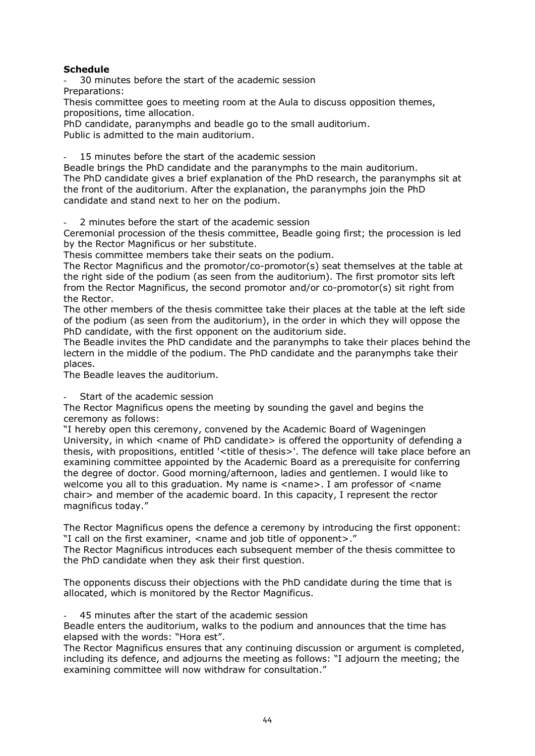#### **Schedule**

30 minutes before the start of the academic session Preparations:

Thesis committee goes to meeting room at the Aula to discuss opposition themes, propositions, time allocation.

PhD candidate, paranymphs and beadle go to the small auditorium. Public is admitted to the main auditorium.

15 minutes before the start of the academic session

Beadle brings the PhD candidate and the paranymphs to the main auditorium. The PhD candidate gives a brief explanation of the PhD research, the paranymphs sit at the front of the auditorium. After the explanation, the paranymphs join the PhD candidate and stand next to her on the podium.

2 minutes before the start of the academic session

Ceremonial procession of the thesis committee, Beadle going first; the procession is led by the Rector Magnificus or her substitute.

Thesis committee members take their seats on the podium.

The Rector Magnificus and the promotor/co-promotor(s) seat themselves at the table at the right side of the podium (as seen from the auditorium). The first promotor sits left from the Rector Magnificus, the second promotor and/or co-promotor(s) sit right from the Rector.

The other members of the thesis committee take their places at the table at the left side of the podium (as seen from the auditorium), in the order in which they will oppose the PhD candidate, with the first opponent on the auditorium side.

The Beadle invites the PhD candidate and the paranymphs to take their places behind the lectern in the middle of the podium. The PhD candidate and the paranymphs take their places.

The Beadle leaves the auditorium.

Start of the academic session

The Rector Magnificus opens the meeting by sounding the gavel and begins the ceremony as follows:

"I hereby open this ceremony, convened by the Academic Board of Wageningen University, in which  $\leq$  name of PhD candidate $>$  is offered the opportunity of defending a thesis, with propositions, entitled '<title of thesis>'. The defence will take place before an examining committee appointed by the Academic Board as a prerequisite for conferring the degree of doctor. Good morning/afternoon, ladies and gentlemen. I would like to welcome you all to this graduation. My name is <name>. I am professor of <name chair> and member of the academic board. In this capacity, I represent the rector magnificus today."

The Rector Magnificus opens the defence a ceremony by introducing the first opponent: "I call on the first examiner, <name and job title of opponent>."

The Rector Magnificus introduces each subsequent member of the thesis committee to the PhD candidate when they ask their first question.

The opponents discuss their objections with the PhD candidate during the time that is allocated, which is monitored by the Rector Magnificus.

45 minutes after the start of the academic session

Beadle enters the auditorium, walks to the podium and announces that the time has elapsed with the words: "Hora est".

The Rector Magnificus ensures that any continuing discussion or argument is completed, including its defence, and adjourns the meeting as follows: "I adjourn the meeting; the examining committee will now withdraw for consultation."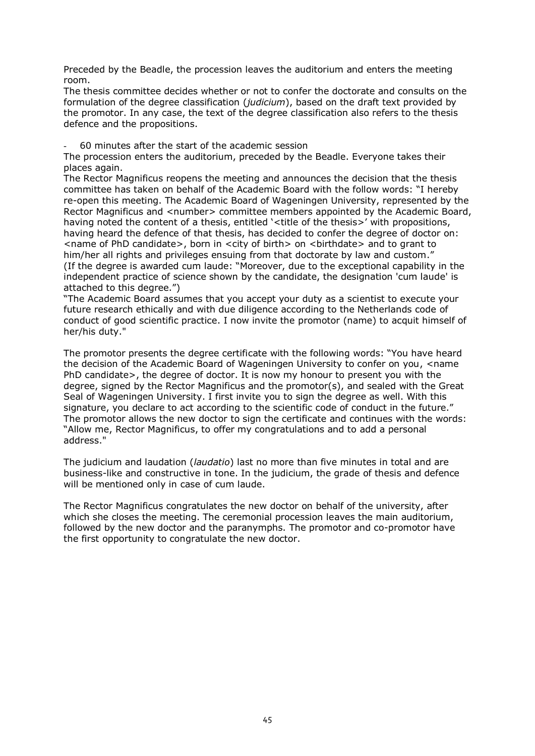Preceded by the Beadle, the procession leaves the auditorium and enters the meeting room.

The thesis committee decides whether or not to confer the doctorate and consults on the formulation of the degree classification (*judicium*), based on the draft text provided by the promotor. In any case, the text of the degree classification also refers to the thesis defence and the propositions.

- 60 minutes after the start of the academic session

The procession enters the auditorium, preceded by the Beadle. Everyone takes their places again.

The Rector Magnificus reopens the meeting and announces the decision that the thesis committee has taken on behalf of the Academic Board with the follow words: "I hereby re-open this meeting. The Academic Board of Wageningen University, represented by the Rector Magnificus and <number> committee members appointed by the Academic Board, having noted the content of a thesis, entitled '<title of the thesis>' with propositions, having heard the defence of that thesis, has decided to confer the degree of doctor on: <name of PhD candidate>, born in <city of birth> on <birthdate> and to grant to him/her all rights and privileges ensuing from that doctorate by law and custom." (If the degree is awarded cum laude: "Moreover, due to the exceptional capability in the independent practice of science shown by the candidate, the designation 'cum laude' is attached to this degree.")

"The Academic Board assumes that you accept your duty as a scientist to execute your future research ethically and with due diligence according to the Netherlands code of conduct of good scientific practice. I now invite the promotor (name) to acquit himself of her/his duty."

The promotor presents the degree certificate with the following words: "You have heard the decision of the Academic Board of Wageningen University to confer on you, <name PhD candidate>, the degree of doctor. It is now my honour to present you with the degree, signed by the Rector Magnificus and the promotor(s), and sealed with the Great Seal of Wageningen University. I first invite you to sign the degree as well. With this signature, you declare to act according to the scientific code of conduct in the future." The promotor allows the new doctor to sign the certificate and continues with the words: "Allow me, Rector Magnificus, to offer my congratulations and to add a personal address."

The judicium and laudation (*laudatio*) last no more than five minutes in total and are business-like and constructive in tone. In the judicium, the grade of thesis and defence will be mentioned only in case of cum laude.

The Rector Magnificus congratulates the new doctor on behalf of the university, after which she closes the meeting. The ceremonial procession leaves the main auditorium, followed by the new doctor and the paranymphs. The promotor and co-promotor have the first opportunity to congratulate the new doctor.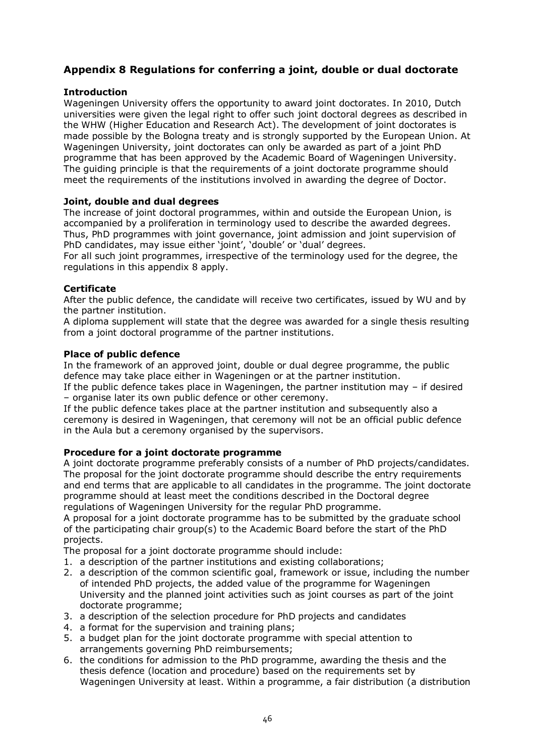# **Appendix 8 Regulations for conferring a joint, double or dual doctorate**

#### **Introduction**

Wageningen University offers the opportunity to award joint doctorates. In 2010, Dutch universities were given the legal right to offer such joint doctoral degrees as described in the WHW (Higher Education and Research Act). The development of joint doctorates is made possible by the Bologna treaty and is strongly supported by the European Union. At Wageningen University, joint doctorates can only be awarded as part of a joint PhD programme that has been approved by the Academic Board of Wageningen University. The guiding principle is that the requirements of a joint doctorate programme should meet the requirements of the institutions involved in awarding the degree of Doctor.

#### **Joint, double and dual degrees**

The increase of joint doctoral programmes, within and outside the European Union, is accompanied by a proliferation in terminology used to describe the awarded degrees. Thus, PhD programmes with joint governance, joint admission and joint supervision of PhD candidates, may issue either 'joint', 'double' or 'dual' degrees.

For all such joint programmes, irrespective of the terminology used for the degree, the regulations in this appendix 8 apply.

#### **Certificate**

After the public defence, the candidate will receive two certificates, issued by WU and by the partner institution.

A diploma supplement will state that the degree was awarded for a single thesis resulting from a joint doctoral programme of the partner institutions.

#### **Place of public defence**

In the framework of an approved joint, double or dual degree programme, the public defence may take place either in Wageningen or at the partner institution.

If the public defence takes place in Wageningen, the partner institution may – if desired – organise later its own public defence or other ceremony.

If the public defence takes place at the partner institution and subsequently also a ceremony is desired in Wageningen, that ceremony will not be an official public defence in the Aula but a ceremony organised by the supervisors.

#### **Procedure for a joint doctorate programme**

A joint doctorate programme preferably consists of a number of PhD projects/candidates. The proposal for the joint doctorate programme should describe the entry requirements and end terms that are applicable to all candidates in the programme. The joint doctorate programme should at least meet the conditions described in the Doctoral degree regulations of Wageningen University for the regular PhD programme.

A proposal for a joint doctorate programme has to be submitted by the graduate school of the participating chair group(s) to the Academic Board before the start of the PhD projects.

The proposal for a joint doctorate programme should include:

- 1. a description of the partner institutions and existing collaborations;
- 2. a description of the common scientific goal, framework or issue, including the number of intended PhD projects, the added value of the programme for Wageningen University and the planned joint activities such as joint courses as part of the joint doctorate programme;
- 3. a description of the selection procedure for PhD projects and candidates
- 4. a format for the supervision and training plans;
- 5. a budget plan for the joint doctorate programme with special attention to arrangements governing PhD reimbursements;
- 6. the conditions for admission to the PhD programme, awarding the thesis and the thesis defence (location and procedure) based on the requirements set by Wageningen University at least. Within a programme, a fair distribution (a distribution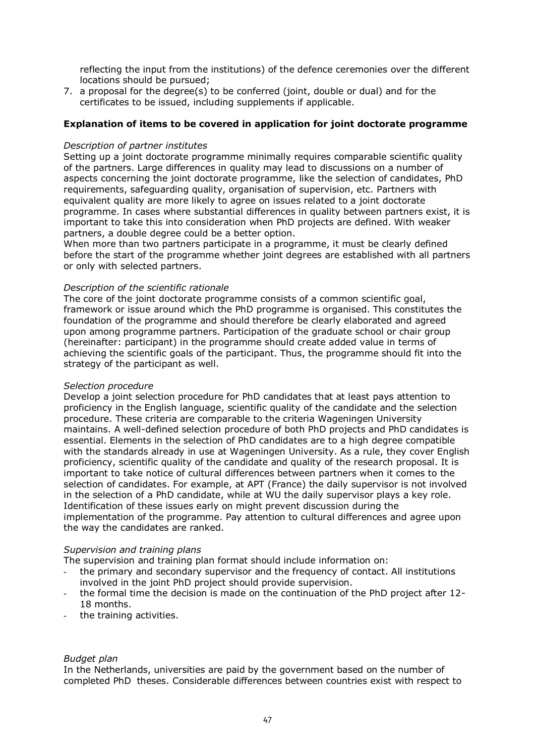reflecting the input from the institutions) of the defence ceremonies over the different locations should be pursued;

7. a proposal for the degree(s) to be conferred (joint, double or dual) and for the certificates to be issued, including supplements if applicable.

#### **Explanation of items to be covered in application for joint doctorate programme**

#### *Description of partner institutes*

Setting up a joint doctorate programme minimally requires comparable scientific quality of the partners. Large differences in quality may lead to discussions on a number of aspects concerning the joint doctorate programme, like the selection of candidates, PhD requirements, safeguarding quality, organisation of supervision, etc. Partners with equivalent quality are more likely to agree on issues related to a joint doctorate programme. In cases where substantial differences in quality between partners exist, it is important to take this into consideration when PhD projects are defined. With weaker partners, a double degree could be a better option.

When more than two partners participate in a programme, it must be clearly defined before the start of the programme whether joint degrees are established with all partners or only with selected partners.

#### *Description of the scientific rationale*

The core of the joint doctorate programme consists of a common scientific goal, framework or issue around which the PhD programme is organised. This constitutes the foundation of the programme and should therefore be clearly elaborated and agreed upon among programme partners. Participation of the graduate school or chair group (hereinafter: participant) in the programme should create added value in terms of achieving the scientific goals of the participant. Thus, the programme should fit into the strategy of the participant as well.

#### *Selection procedure*

Develop a joint selection procedure for PhD candidates that at least pays attention to proficiency in the English language, scientific quality of the candidate and the selection procedure. These criteria are comparable to the criteria Wageningen University maintains. A well-defined selection procedure of both PhD projects and PhD candidates is essential. Elements in the selection of PhD candidates are to a high degree compatible with the standards already in use at Wageningen University. As a rule, they cover English proficiency, scientific quality of the candidate and quality of the research proposal. It is important to take notice of cultural differences between partners when it comes to the selection of candidates. For example, at APT (France) the daily supervisor is not involved in the selection of a PhD candidate, while at WU the daily supervisor plays a key role. Identification of these issues early on might prevent discussion during the implementation of the programme. Pay attention to cultural differences and agree upon the way the candidates are ranked.

#### *Supervision and training plans*

The supervision and training plan format should include information on:

- the primary and secondary supervisor and the frequency of contact. All institutions involved in the joint PhD project should provide supervision.
- the formal time the decision is made on the continuation of the PhD project after 12-18 months.
- the training activities.

#### *Budget plan*

In the Netherlands, universities are paid by the government based on the number of completed PhD theses. Considerable differences between countries exist with respect to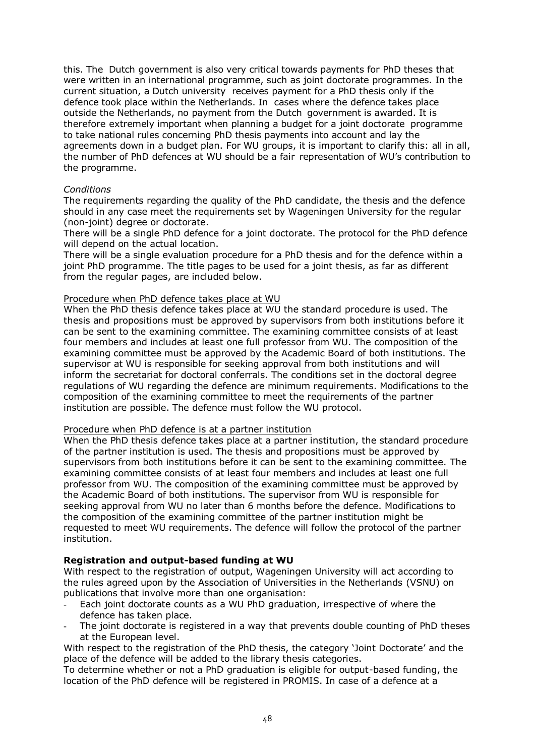this. The Dutch government is also very critical towards payments for PhD theses that were written in an international programme, such as joint doctorate programmes. In the current situation, a Dutch university receives payment for a PhD thesis only if the defence took place within the Netherlands. In cases where the defence takes place outside the Netherlands, no payment from the Dutch government is awarded. It is therefore extremely important when planning a budget for a joint doctorate programme to take national rules concerning PhD thesis payments into account and lay the agreements down in a budget plan. For WU groups, it is important to clarify this: all in all, the number of PhD defences at WU should be a fair representation of WU's contribution to the programme.

#### *Conditions*

The requirements regarding the quality of the PhD candidate, the thesis and the defence should in any case meet the requirements set by Wageningen University for the regular (non-joint) degree or doctorate.

There will be a single PhD defence for a joint doctorate. The protocol for the PhD defence will depend on the actual location.

There will be a single evaluation procedure for a PhD thesis and for the defence within a joint PhD programme. The title pages to be used for a joint thesis, as far as different from the regular pages, are included below.

#### Procedure when PhD defence takes place at WU

When the PhD thesis defence takes place at WU the standard procedure is used. The thesis and propositions must be approved by supervisors from both institutions before it can be sent to the examining committee. The examining committee consists of at least four members and includes at least one full professor from WU. The composition of the examining committee must be approved by the Academic Board of both institutions. The supervisor at WU is responsible for seeking approval from both institutions and will inform the secretariat for doctoral conferrals. The conditions set in the doctoral degree regulations of WU regarding the defence are minimum requirements. Modifications to the composition of the examining committee to meet the requirements of the partner institution are possible. The defence must follow the WU protocol.

#### Procedure when PhD defence is at a partner institution

When the PhD thesis defence takes place at a partner institution, the standard procedure of the partner institution is used. The thesis and propositions must be approved by supervisors from both institutions before it can be sent to the examining committee. The examining committee consists of at least four members and includes at least one full professor from WU. The composition of the examining committee must be approved by the Academic Board of both institutions. The supervisor from WU is responsible for seeking approval from WU no later than 6 months before the defence. Modifications to the composition of the examining committee of the partner institution might be requested to meet WU requirements. The defence will follow the protocol of the partner institution.

#### **Registration and output-based funding at WU**

With respect to the registration of output, Wageningen University will act according to the rules agreed upon by the Association of Universities in the Netherlands (VSNU) on publications that involve more than one organisation:

- Each joint doctorate counts as a WU PhD graduation, irrespective of where the defence has taken place.
- The joint doctorate is registered in a way that prevents double counting of PhD theses at the European level.

With respect to the registration of the PhD thesis, the category 'Joint Doctorate' and the place of the defence will be added to the library thesis categories.

To determine whether or not a PhD graduation is eligible for output-based funding, the location of the PhD defence will be registered in PROMIS. In case of a defence at a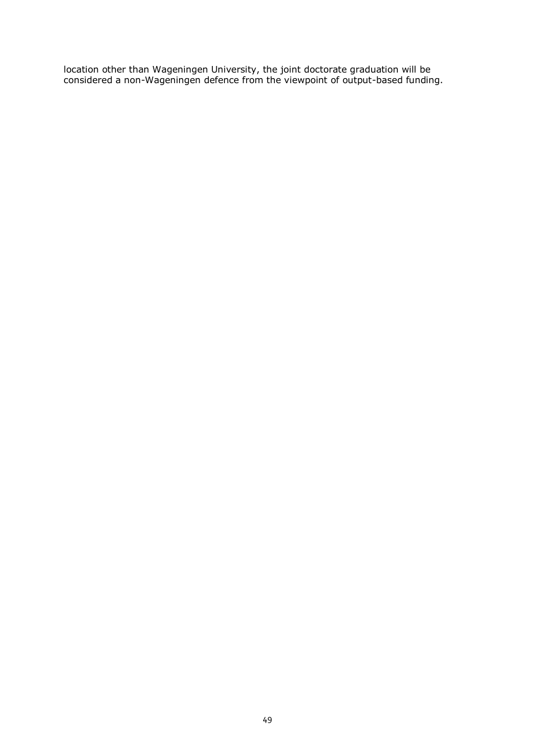location other than Wageningen University, the joint doctorate graduation will be considered a non-Wageningen defence from the viewpoint of output-based funding.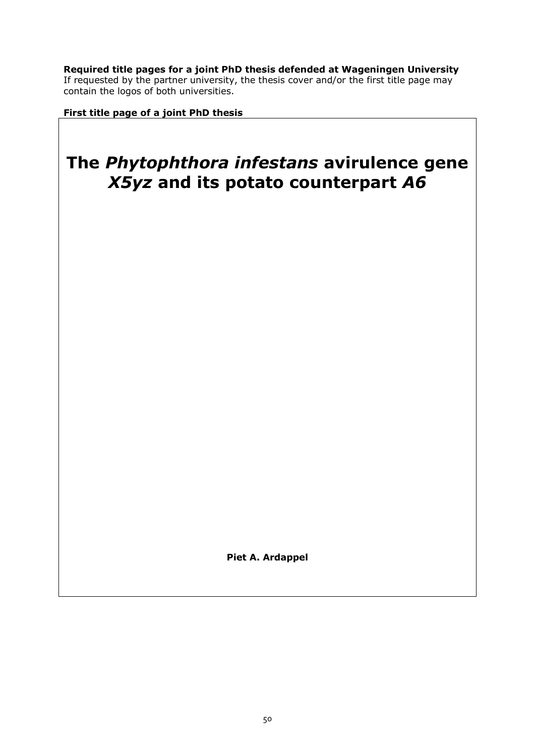**Required title pages for a joint PhD thesis defended at Wageningen University** If requested by the partner university, the thesis cover and/or the first title page may contain the logos of both universities.

**First title page of a joint PhD thesis**

# **The** *Phytophthora infestans* **avirulence gene**  *X5yz* **and its potato counterpart** *A6*

**Piet A. Ardappel**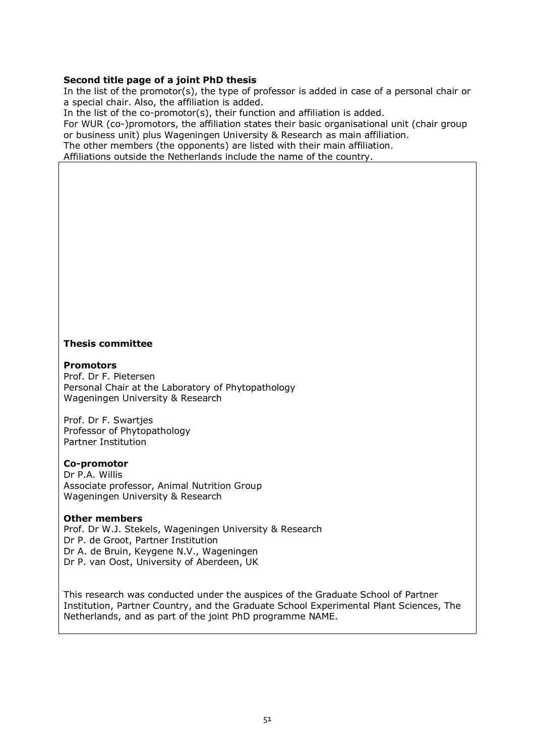#### **Second title page of a joint PhD thesis**

In the list of the promotor(s), the type of professor is added in case of a personal chair or a special chair. Also, the affiliation is added.

In the list of the co-promotor(s), their function and affiliation is added.

For WUR (co-)promotors, the affiliation states their basic organisational unit (chair group or business unit) plus Wageningen University & Research as main affiliation.

The other members (the opponents) are listed with their main affiliation.

Affiliations outside the Netherlands include the name of the country.

#### **Thesis committee**

#### **Promotors**

Prof. Dr F. Pietersen Personal Chair at the Laboratory of Phytopathology Wageningen University & Research

Prof. Dr F. Swartjes Professor of Phytopathology Partner Institution

#### **Co-promotor**

Dr P.A. Willis Associate professor, Animal Nutrition Group Wageningen University & Research

#### **Other members**

Prof. Dr W.J. Stekels, Wageningen University & Research Dr P. de Groot, Partner Institution Dr A. de Bruin, Keygene N.V., Wageningen Dr P. van Oost, University of Aberdeen, UK

This research was conducted under the auspices of the Graduate School of Partner Institution, Partner Country, and the Graduate School Experimental Plant Sciences, The Netherlands, and as part of the joint PhD programme NAME.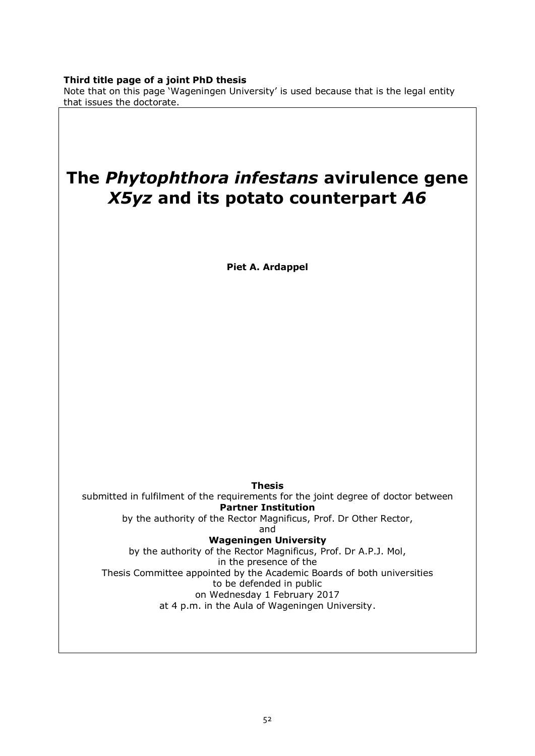#### **Third title page of a joint PhD thesis**

Note that on this page 'Wageningen University' is used because that is the legal entity that issues the doctorate.

# **The** *Phytophthora infestans* **avirulence gene**  *X5yz* **and its potato counterpart** *A6*

**Piet A. Ardappel**

**Thesis** submitted in fulfilment of the requirements for the joint degree of doctor between **Partner Institution** by the authority of the Rector Magnificus, Prof. Dr Other Rector, and **Wageningen University** by the authority of the Rector Magnificus, Prof. Dr A.P.J. Mol, in the presence of the Thesis Committee appointed by the Academic Boards of both universities to be defended in public on Wednesday 1 February 2017 at 4 p.m. in the Aula of Wageningen University.